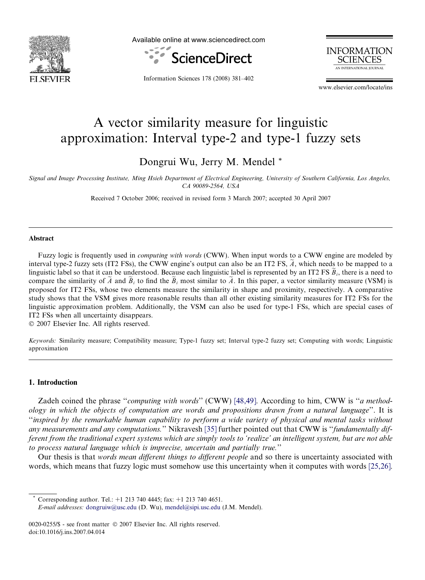<span id="page-0-0"></span>

Available online at www.sciencedirect.com





Information Sciences 178 (2008) 381–402

www.elsevier.com/locate/ins

# A vector similarity measure for linguistic approximation: Interval type-2 and type-1 fuzzy sets

Dongrui Wu, Jerry M. Mendel \*

Signal and Image Processing Institute, Ming Hsieh Department of Electrical Engineering, University of Southern California, Los Angeles, CA 90089-2564, USA

Received 7 October 2006; received in revised form 3 March 2007; accepted 30 April 2007

#### Abstract

Fuzzy logic is frequently used in *computing with words* (CWW). When input words to a CWW engine are modeled by interval type-2 fuzzy sets (IT2 FSs), the CWW engine's output can also be an IT2 FS,  $\tilde{A}$ , which needs to be mapped to a linguistic label so that it can be understood. Because each linguistic label is represented by an IT2 FS  $\hat{B}_i$ , there is a need to compare the similarity of  $\widetilde{A}$  and  $\widetilde{B}_i$  to find the  $\widetilde{B}_i$  most similar to  $\widetilde{A}$ . In this paper, a vector similarity measure (VSM) is proposed for IT2 FSs, whose two elements measure the similarity in shape and proximity, respectively. A comparative study shows that the VSM gives more reasonable results than all other existing similarity measures for IT2 FSs for the linguistic approximation problem. Additionally, the VSM can also be used for type-1 FSs, which are special cases of IT2 FSs when all uncertainty disappears.

 $© 2007 Elsevier Inc. All rights reserved.$ 

Keywords: Similarity measure; Compatibility measure; Type-1 fuzzy set; Interval type-2 fuzzy set; Computing with words; Linguistic approximation

#### 1. Introduction

Zadeh coined the phrase "computing with words" (CWW) [\[48,49\]](#page-21-0). According to him, CWW is "a methodology in which the objects of computation are words and propositions drawn from a natural language''. It is ''inspired by the remarkable human capability to perform a wide variety of physical and mental tasks without any measurements and any computations." Nikravesh [\[35\]](#page-20-0) further pointed out that CWW is "fundamentally different from the traditional expert systems which are simply tools to 'realize' an intelligent system, but are not able to process natural language which is imprecise, uncertain and partially true.''

Our thesis is that words mean different things to different people and so there is uncertainty associated with words, which means that fuzzy logic must somehow use this uncertainty when it computes with words [\[25,26\]](#page-20-0).

Corresponding author. Tel.:  $+1$  213 740 4445; fax:  $+1$  213 740 4651.

E-mail addresses: [dongruiw@usc.edu](mailto:dongruiw@usc.edu) (D. Wu), [mendel@sipi.usc.edu](mailto:mendel@sipi.usc.edu) (J.M. Mendel).

<sup>0020-0255/\$ -</sup> see front matter © 2007 Elsevier Inc. All rights reserved. doi:10.1016/j.ins.2007.04.014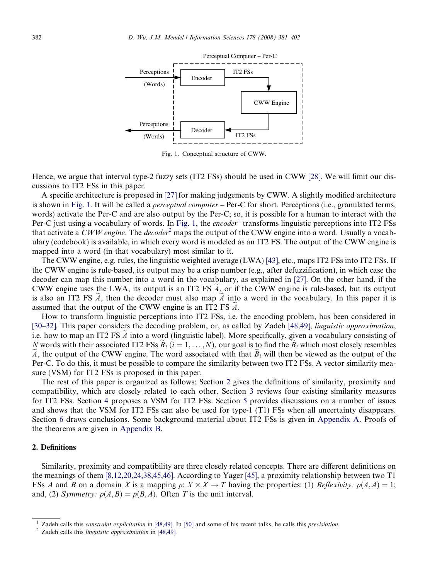<span id="page-1-0"></span>

Fig. 1. Conceptual structure of CWW.

Hence, we argue that interval type-2 fuzzy sets (IT2 FSs) should be used in CWW [\[28\].](#page-20-0) We will limit our discussions to IT2 FSs in this paper.

A specific architecture is proposed in [\[27\]](#page-20-0) for making judgements by CWW. A slightly modified architecture is shown in Fig. 1. It will be called a *perceptual computer* – Per-C for short. Perceptions (i.e., granulated terms, words) activate the Per-C and are also output by the Per-C; so, it is possible for a human to interact with the Per-C just using a vocabulary of words. In Fig. 1, the *encoder*<sup>1</sup> transforms linguistic perceptions into IT2 FSs that activate a CWW engine. The decoder<sup>2</sup> maps the output of the CWW engine into a word. Usually a vocabulary (codebook) is available, in which every word is modeled as an IT2 FS. The output of the CWW engine is mapped into a word (in that vocabulary) most similar to it.

The CWW engine, e.g. rules, the linguistic weighted average (LWA) [\[43\]](#page-20-0), etc., maps IT2 FSs into IT2 FSs. If the CWW engine is rule-based, its output may be a crisp number (e.g., after defuzzification), in which case the decoder can map this number into a word in the vocabulary, as explained in [\[27\]](#page-20-0). On the other hand, if the CWW engine uses the LWA, its output is an IT2 FS  $\hat{A}$ , or if the CWW engine is rule-based, but its output is also an IT2 FS  $\tilde{A}$ , then the decoder must also map  $\tilde{A}$  into a word in the vocabulary. In this paper it is assumed that the output of the CWW engine is an IT2 FS  $\ddot{A}$ .

How to transform linguistic perceptions into IT2 FSs, i.e. the encoding problem, has been considered in [\[30–32\].](#page-20-0) This paper considers the decoding problem, or, as called by Zadeh [\[48,49\]](#page-21-0), linguistic approximation, i.e. how to map an IT2 FS  $\ddot{A}$  into a word (linguistic label). More specifically, given a vocabulary consisting of N words with their associated IT2 FSs  $B_i$  ( $i = 1, ..., N$ ), our goal is to find the  $B_i$  which most closely resembles A, the output of the CWW engine. The word associated with that  $B_i$  will then be viewed as the output of the Per-C. To do this, it must be possible to compare the similarity between two IT2 FSs. A vector similarity measure (VSM) for IT2 FSs is proposed in this paper.

The rest of this paper is organized as follows: Section 2 gives the definitions of similarity, proximity and compatibility, which are closely related to each other. Section [3](#page-2-0) reviews four existing similarity measures for IT2 FSs. Section [4](#page-8-0) proposes a VSM for IT2 FSs. Section [5](#page-11-0) provides discussions on a number of issues and shows that the VSM for IT2 FSs can also be used for type-1 (T1) FSs when all uncertainty disappears. Section [6](#page-15-0) draws conclusions. Some background material about IT2 FSs is given in [Appendix A](#page-17-0). Proofs of the theorems are given in Appendix B.

# 2. Definitions

Similarity, proximity and compatibility are three closely related concepts. There are different definitions on the meanings of them [\[8,12,20,24,38,45,46\].](#page-20-0) According to Yager [\[45\]](#page-20-0), a proximity relationship between two T1 FSs A and B on a domain X is a mapping  $p: X \times X \to T$  having the properties: (1) Reflexivity:  $p(A, A) = 1$ ; and, (2) Symmetry:  $p(A, B) = p(B, A)$ . Often T is the unit interval.

<sup>&</sup>lt;sup>1</sup> Zadeh calls this *constraint explicitation* in [\[48,49\].](#page-21-0) In [\[50\]](#page-21-0) and some of his recent talks, he calls this *precisiation*. <sup>2</sup> Zadeh calls this *linguistic approximation* in [48,49].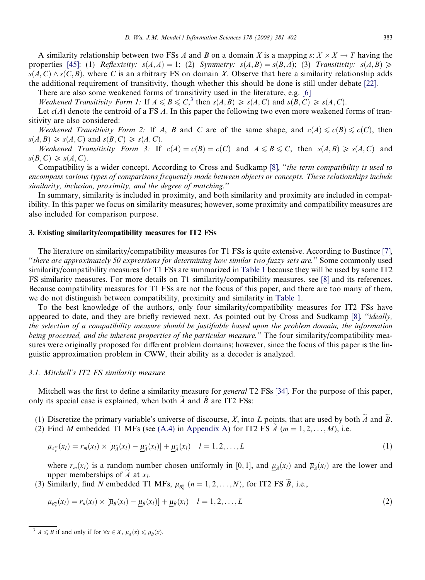<span id="page-2-0"></span>A similarity relationship between two FSs A and B on a domain X is a mapping  $s: X \times X \to T$  having the properties [\[45\]](#page-20-0): (1) Reflexivity:  $s(A,A) = 1$ ; (2) Symmetry:  $s(A,B) = s(B,A)$ ; (3) Transitivity:  $s(A,B) \geq$  $s(A, C) \wedge s(C, B)$ , where C is an arbitrary FS on domain X. Observe that here a similarity relationship adds the additional requirement of transitivity, though whether this should be done is still under debate [\[22\]](#page-20-0).

There are also some weakened forms of transitivity used in the literature, e.g. [\[6\]](#page-19-0)

Weakened Transitivity Form 1: If  $A \le B \le C$ ,  $\lambda$  then  $s(A, B) \ge s(A, C)$  and  $s(B, C) \ge s(A, C)$ .

Let  $c(A)$  denote the centroid of a FS A. In this paper the following two even more weakened forms of transitivity are also considered:

Weakened Transitivity Form 2: If A, B and C are of the same shape, and  $c(A) \leq c(B) \leq c(C)$ , then  $s(A, B) \geq s(A, C)$  and  $s(B, C) \geq s(A, C)$ .

Weakened Transitivity Form 3: If  $c(A) = c(B) = c(C)$  and  $A \le B \le C$ , then  $s(A, B) \ge s(A, C)$  and  $s(B, C) \geqslant s(A, C).$ 

Compatibility is a wider concept. According to Cross and Sudkamp [\[8\]](#page-20-0), ''the term compatibility is used to encompass various types of comparisons frequently made between objects or concepts. These relationships include similarity, inclusion, proximity, and the degree of matching.''

In summary, similarity is included in proximity, and both similarity and proximity are included in compatibility. In this paper we focus on similarity measures; however, some proximity and compatibility measures are also included for comparison purpose.

#### 3. Existing similarity/compatibility measures for IT2 FSs

The literature on similarity/compatibility measures for T1 FSs is quite extensive. According to Bustince [\[7\]](#page-20-0), ''there are approximately 50 expressions for determining how similar two fuzzy sets are.'' Some commonly used similarity/compatibility measures for T1 FSs are summarized in [Table 1](#page-3-0) because they will be used by some IT2 FS similarity measures. For more details on T1 similarity/compatibility measures, see [\[8\]](#page-20-0) and its references. Because compatibility measures for T1 FSs are not the focus of this paper, and there are too many of them, we do not distinguish between compatibility, proximity and similarity in [Table 1.](#page-3-0)

To the best knowledge of the authors, only four similarity/compatibility measures for IT2 FSs have appeared to date, and they are briefly reviewed next. As pointed out by Cross and Sudkamp [\[8\],](#page-20-0) ''ideally, the selection of a compatibility measure should be justifiable based upon the problem domain, the information being processed, and the inherent properties of the particular measure." The four similarity/compatibility measures were originally proposed for different problem domains; however, since the focus of this paper is the linguistic approximation problem in CWW, their ability as a decoder is analyzed.

# 3.1. Mitchell's IT2 FS similarity measure

Mitchell was the first to define a similarity measure for *general* T2 FSs [\[34\]](#page-20-0). For the purpose of this paper, only its special case is explained, when both  $A$  and  $\overline{B}$  are IT2 FSs:

- (1) Discretize the primary variable's universe of discourse,  $X$ , into  $L$  points, that are used by both  $A$  and  $B$ .
- (2) Find M embedded T1 MFs (see [\(A.4\)](#page-16-0) in [Appendix A\)](#page-17-0) for IT2 FS  $\tilde{A}$  ( $m = 1, 2, \ldots, M$ ), i.e.

$$
\mu_{A_{\ell}^m}(x_l) = r_m(x_l) \times \left[\overline{\mu}_{\lambda}(x_l) - \underline{\mu}_{\lambda}(x_l)\right] + \underline{\mu}_{\lambda}(x_l) \quad l = 1, 2, \dots, L \tag{1}
$$

where  $r_m(x_l)$  is a random number chosen uniformly in [0, 1], and  $\mu_{\tilde{A}}(x_l)$  and  $\overline{\mu}_{\tilde{A}}(x_l)$  are the lower and upper memberships of A at  $x_l$ .

(3) Similarly, find N embedded T1 MFs,  $\mu_{B_e^n}$   $(n = 1, 2, \dots, N)$ , for IT2 FS B, i.e.,

$$
\mu_{B_{\ell}^{n}}(x_{l}) = r_{n}(x_{l}) \times [\overline{\mu}_{\tilde{B}}(x_{l}) - \underline{\mu}_{\tilde{B}}(x_{l})] + \underline{\mu}_{\tilde{B}}(x_{l}) \quad l = 1, 2, \dots, L
$$
\n(2)

<sup>&</sup>lt;sup>3</sup>  $A \le B$  if and only if for  $\forall x \in X$ ,  $\mu_A(x) \le \mu_B(x)$ .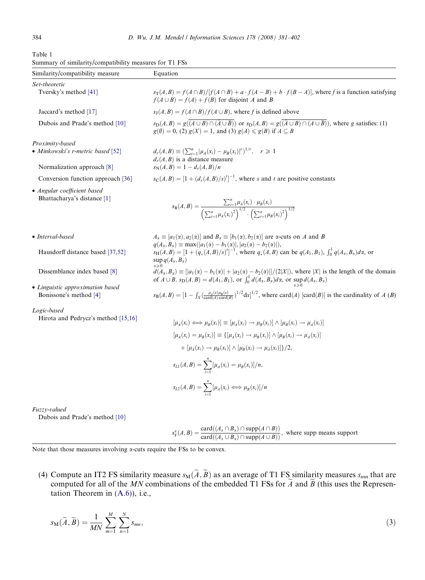<span id="page-3-0"></span>

| Table 1                                                 |  |  |
|---------------------------------------------------------|--|--|
| Summary of similarity/compatibility measures for T1 FSs |  |  |

| Similarity/compatibility measure    | Equation                                                                                                                                                                                                                                                                                     |
|-------------------------------------|----------------------------------------------------------------------------------------------------------------------------------------------------------------------------------------------------------------------------------------------------------------------------------------------|
| Set-theoretic                       |                                                                                                                                                                                                                                                                                              |
| Tversky's method [41]               | $s_{\text{T}}(A, B) = f(A \cap B)/[f(A \cap B) + a \cdot f(A - B) + b \cdot f(B - A)],$ where f is a function satisfying<br>$f(A \cup B) = f(A) + f(B)$ for disjoint A and B                                                                                                                 |
| Jaccard's method [17]               | $s_1(A, B) = f(A \cap B)/f(A \cup B)$ , where f is defined above                                                                                                                                                                                                                             |
| Dubois and Prade's method [10]      | $s_{\text{D}}(A, B) = g((\overline{A \cup B}) \cap (\overline{A \cup \overline{B}}))$ or $s_{\text{D}}(A, B) = g((\overline{A \cup B}) \cap (\overline{A \cup \overline{B}}))$ , where g satisfies: (1)<br>$g(\emptyset) = 0$ , (2) $g(X) = 1$ , and (3) $g(A) \leq g(B)$ if $A \subseteq B$ |
| Proximity-based                     |                                                                                                                                                                                                                                                                                              |
| • Minkowski's r-metric based [52]   | $d_r(A,B) \equiv \left(\sum_{i=1}^n  \mu_A(x_i) - \mu_B(x_i) ^r\right)^{1/r}, \quad r \geq 1$<br>$d_r(A, B)$ is a distance measure                                                                                                                                                           |
| Normalization approach [8]          | $s_{N}(A, B) = 1 - d_{r}(A, B)/n$                                                                                                                                                                                                                                                            |
| Conversion function approach [36]   | $s_C(A, B) = [1 + (d_r(A, B)/s)^t]^{-1}$ , where s and t are positive constants                                                                                                                                                                                                              |
| • Angular coefficient based         |                                                                                                                                                                                                                                                                                              |
| Bhattacharya's distance [1]         |                                                                                                                                                                                                                                                                                              |
|                                     | $s_{\mathbf{B}}(A,B) = \frac{\sum_{i=1}^{n} \mu_A(x_i) \cdot \mu_B(x_i)}{\left(\sum_{i=1}^{n} \mu_A(x_i)^2\right)^{1/2} \cdot \left(\sum_{i=1}^{n} \mu_B(x_i)^2\right)^{1/2}}$                                                                                                               |
|                                     |                                                                                                                                                                                                                                                                                              |
| • Interval-based                    | $A_{\alpha} \equiv [a_1(\alpha), a_2(\alpha)]$ and $B_{\alpha} \equiv [b_1(\alpha), b_2(\alpha)]$ are $\alpha$ -cuts on A and B                                                                                                                                                              |
| Hausdorff distance based [37,52]    | $q(A_{\alpha}, B_{\alpha}) \equiv \max( a_1(\alpha) - b_1(\alpha) ,  a_2(\alpha) - b_2(\alpha) ),$<br>$s_H(A, B) = [1 + (q_*(A, B)/s)^t]^{-1}$ , where $q_*(A, B)$ can be $q(A_1, B_1)$ , $\int_0^1 q(A_x, B_x) dx$ , or<br>$\sup_{\alpha \geq 0} q(A_{\alpha}, B_{\alpha})$                 |
| Dissemblance index based [8]        | $d(A_x, B_x) \equiv [ a_1(\alpha) - b_1(\alpha)  +  a_2(\alpha) - b_2(\alpha) ]/(2 X )$ , where  X  is the length of the domain of $A \cup B$ . $s_D(A, B) = d(A_1, B_1)$ , or $\int_0^1 d(A_x, B_x) dx$ , or $\sup_{\alpha > 0} d(A_x, B_x)$                                                |
| • Linguistic approximation based    |                                                                                                                                                                                                                                                                                              |
| Bonissone's method [4]              | $s_{\mathbf{B}}(A,B) = \left[1 - \int_{X} \left(\frac{\mu_{\mathcal{A}}(x)\mu_{\mathbf{B}}(x)}{\text{card}(A)\cdot \text{card}(B)}\right)^{1/2} dx\right]^{1/2}$ , where $\text{card}(A)$ [card(B)] is the cardinality of A (B)                                                              |
| Logic-based                         |                                                                                                                                                                                                                                                                                              |
| Hirota and Pedrycz's method [15,16] | $[\mu_{\lambda}(x_i) \Longleftrightarrow \mu_{\nu}(x_i)] \equiv [\mu_{\lambda}(x_i) \rightarrow \mu_{\nu}(x_i)] \wedge [\mu_{\nu}(x_i) \rightarrow \mu_{\lambda}(x_i)]$                                                                                                                      |
|                                     | $[\mu_A(x_i) = \mu_B(x_i)] \equiv \{[\mu_A(x_i) \to \mu_B(x_i)] \wedge [\mu_B(x_i) \to \mu_A(x_i)]\}$                                                                                                                                                                                        |
|                                     | $+ [\mu_{\bar{A}}(x_i) \rightarrow \mu_{\bar{B}}(x_i)] \wedge [\mu_{\bar{B}}(x_i) \rightarrow \mu_{\bar{A}}(x_i)]\}/2,$                                                                                                                                                                      |
|                                     | $s_{L1}(A, B) = \sum_{i=1}^{n} [\mu_A(x_i) = \mu_B(x_i)]/n,$                                                                                                                                                                                                                                 |
|                                     | $s_{L2}(A,B) = \sum_{i=1}^{n} [\mu_A(x_i) \Longleftrightarrow \mu_B(x_i)]/n$                                                                                                                                                                                                                 |
|                                     |                                                                                                                                                                                                                                                                                              |

Fuzzy-valued

Dubois and Prade's method [\[10\]](#page-20-0)

$$
s_F^{\alpha}(A, B) = \frac{\text{card}((A_{\alpha} \cap B_{\alpha}) \cap \text{supp}(A \cap B))}{\text{card}((A_{\alpha} \cup B_{\alpha}) \cap \text{supp}(A \cup B))}, \text{ where } \text{supp means support}
$$

Note that those measures involving  $\alpha$ -cuts require the FSs to be convex.

(4) Compute an IT2 FS similarity measure  $s_M(A, B)$  as an average of T1 FS similarity measures  $s_{mn}$  that are computed for all of the MN combinations of the embedded T1 FSs for  $A$  and  $B$  (this uses the Representation Theorem in [\(A.6\)](#page-16-0)), i.e.,

$$
s_{\mathbf{M}}(\widetilde{A}, \widetilde{B}) = \frac{1}{MN} \sum_{m=1}^{M} \sum_{n=1}^{N} s_{mn},\tag{3}
$$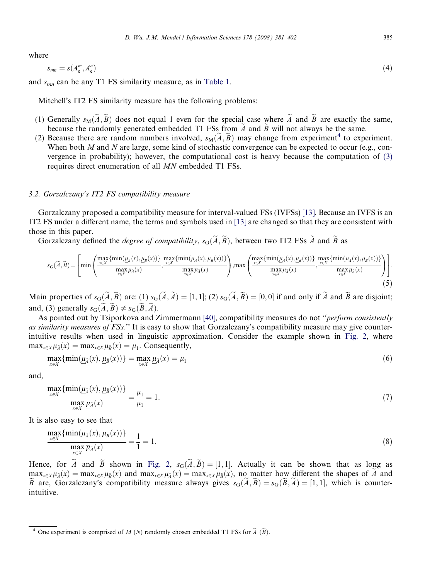where

$$
s_{mn} = s(A_{\rm e}^m, A_{\rm e}^n) \tag{4}
$$

and  $s_{mn}$  can be any T1 FS similarity measure, as in [Table 1](#page-3-0).

Mitchell's IT2 FS similarity measure has the following problems:

- (1) Generally  $s_M(\tilde{A}, \tilde{B})$  does not equal 1 even for the special case where  $\tilde{A}$  and  $\tilde{B}$  are exactly the same, because the randomly generated embedded T1 FSs from  $\tilde{A}$  and  $\tilde{B}$  will not always be the same.
- (2) Because there are random numbers involved,  $s_M(\tilde{A}, \tilde{B})$  may change from experiment<sup>4</sup> to experiment. When both  $M$  and  $N$  are large, some kind of stochastic convergence can be expected to occur (e.g., convergence in probability); however, the computational cost is heavy because the computation of [\(3\)](#page-3-0) requires direct enumeration of all MN embedded T1 FSs.

## 3.2. Gorzalczany's IT2 FS compatibility measure

Gorzalczany proposed a compatibility measure for interval-valued FSs (IVFSs) [\[13\]](#page-20-0). Because an IVFS is an IT2 FS under a different name, the terms and symbols used in [\[13\]](#page-20-0) are changed so that they are consistent with those in this paper.

Gorzalczany defined the *degree of compatibility*,  $s_G(\tilde{A}, \tilde{B})$ , between two IT2 FSs  $\tilde{A}$  and  $\tilde{B}$  as

$$
s_{\mathcal{G}}(\widetilde{A},\widetilde{B}) = \left[ \min \left( \frac{\max\{\min(\underline{\mu}_{\widetilde{A}}(x), \underline{\mu}_{\widetilde{B}}(x))\}}{\max\limits_{x \in X} \underline{\mu}_{\widetilde{A}}(x)}, \frac{\max\{\min(\overline{\mu}_{\widetilde{A}}(x), \overline{\mu}_{\widetilde{B}}(x))\}}{\max\limits_{x \in X} \overline{\mu}_{\widetilde{A}}(x)} \right), \max \left( \frac{\max\{\min(\underline{\mu}_{\widetilde{A}}(x), \underline{\mu}_{\widetilde{B}}(x))\}}{\max\limits_{x \in X} \underline{\mu}_{\widetilde{A}}(x)}, \frac{\max\{\min(\overline{\mu}_{\widetilde{A}}(x), \overline{\mu}_{\widetilde{B}}(x))\}}{\max\limits_{x \in X} \overline{\mu}_{\widetilde{A}}(x)} \right) \right].
$$
\n(5)

Main properties of  $s_G(\tilde{A}, \tilde{B})$  are: (1)  $s_G(\tilde{A}, \tilde{A}) = [1, 1]$ ; (2)  $s_G(\tilde{A}, \tilde{B}) = [0, 0]$  if and only if  $\tilde{A}$  and  $\tilde{B}$  are disjoint; and, (3) generally  $s_G(\tilde{A}, \tilde{B}) \neq s_G(\tilde{B}, \tilde{A})$ .

As pointed out by Tsiporkova and Zimmermann [\[40\],](#page-20-0) compatibility measures do not "*perform consistently* as similarity measures of FSs." It is easy to show that Gorzalczany's compatibility measure may give counterintuitive results when used in linguistic approximation. Consider the example shown in [Fig. 2,](#page-5-0) where  $\max_{x \in X} \mu_{\tilde{A}}(x) = \max_{x \in X} \mu_{\tilde{B}}(x) = \mu_1$ . Consequently,

$$
\max_{x \in X} \{\min(\underline{\mu}_{\tilde{A}}(x), \underline{\mu}_{\tilde{B}}(x))\} = \max_{x \in X} \underline{\mu}_{\tilde{A}}(x) = \mu_1
$$
\n(6)

and,

$$
\frac{\max_{x \in X} {\min(\underline{\mu}_{\tilde{\lambda}}(x), \underline{\mu}_{\tilde{B}}(x))} }{\max_{x \in X} \underline{\mu}_{\tilde{A}}(x)} = \frac{\mu_1}{\mu_1} = 1.
$$
\n(7)

It is also easy to see that

$$
\frac{\max\limits_{x \in X} \{\min(\overline{\mu}_{\tilde{A}}(x), \overline{\mu}_{\tilde{B}}(x))\}}{\max\limits_{x \in X} \overline{\mu}_{\tilde{A}}(x)} = \frac{1}{1} = 1.
$$
\n(8)

Hence, for  $\tilde{A}$  and  $\tilde{B}$  shown in [Fig. 2,](#page-5-0)  $s_{\text{G}}(\tilde{A}, \tilde{B}) = [1, 1]$ . Actually it can be shown that as long as  $\max_{x \in X} \mu_{\tilde{A}}(x) = \max_{x \in X} \mu_{\tilde{B}}(x)$  and  $\max_{x \in X} \overline{\mu}_{\tilde{A}}(x) = \max_{x \in X} \overline{\mu}_{\tilde{B}}(x)$ , no matter how different the shapes of  $\tilde{A}$  and  $\widetilde{B}$  are, Gorzalczany's compatibility measure always gives  $s_G(\widetilde{A}, \widetilde{B}) = s_G(\widetilde{B}, \widetilde{A}) = [1, 1]$ , which is counterintuitive.

<sup>&</sup>lt;sup>4</sup> One experiment is comprised of M (N) randomly chosen embedded T1 FSs for  $\widetilde{A}(\widetilde{B})$ .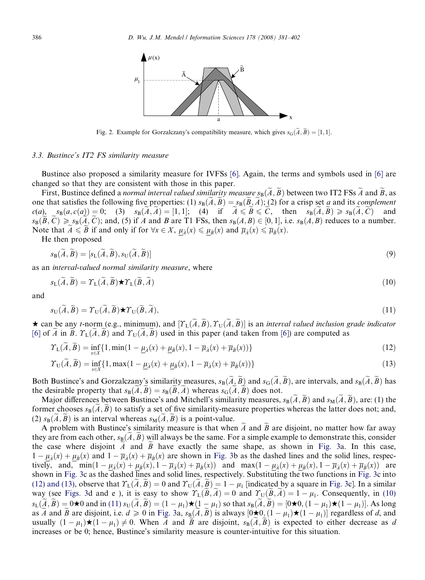<span id="page-5-0"></span>

Fig. 2. Example for Gorzalczany's compatibility measure, which gives  $s_G(\tilde{A}, \tilde{B}) = [1, 1]$ .

#### 3.3. Bustince's IT2 FS similarity measure

Bustince also proposed a similarity measure for IVFSs [\[6\]](#page-19-0). Again, the terms and symbols used in [\[6\]](#page-19-0) are changed so that they are consistent with those in this paper.

First, Bustince defined a normal interval valued similarity measure  $s_B(\tilde{A}, \tilde{B})$  between two IT2 FSs  $\tilde{A}$  and  $\tilde{B}$ , as one that satisfies the following five properties: (1)  $s_B(\tilde{A}, \tilde{B}) = s_B(\tilde{B}, \tilde{A})$ ; (2) for a crisp set a and its complement  $c(a)$ ,  $s_B(a, c(a)) = 0$ ; (3)  $s_B(\tilde{A}, \tilde{A}) = [1, 1]$ ; (4) if  $\tilde{A} \leq \tilde{B} \leq \tilde{C}$ , then  $s_B(\tilde{A}, \tilde{B}) \geq s_B(\tilde{A}, \tilde{C})$  and  $s_{\text{B}}(\widetilde{B}, \widetilde{C}) \geq s_{\text{B}}(\widetilde{A}, \widetilde{C})$ ; and, (5) if A and B are T1 FSs, then  $s_{\text{B}}(A, B) \in [0, 1]$ , i.e.  $s_{\text{B}}(A, B)$  reduces to a number. Note that  $A \le B$  if and only if for  $\forall x \in X$ ,  $\mu_{\tilde{A}}(x) \le \mu_{\tilde{B}}(x)$  and  $\overline{\mu}_{\tilde{A}}(x) \le \overline{\mu}_{\tilde{B}}(x)$ .

He then proposed

$$
s_{\mathbf{B}}(\widetilde{A}, \widetilde{B}) = [s_{\mathbf{L}}(\widetilde{A}, \widetilde{B}), s_{\mathbf{U}}(\widetilde{A}, \widetilde{B})]
$$
\n<sup>(9)</sup>

as an interval-valued normal similarity measure, where

$$
s_{\mathsf{L}}(\widetilde{A}, \widetilde{B}) = \Upsilon_{\mathsf{L}}(\widetilde{A}, \widetilde{B}) \star \Upsilon_{\mathsf{L}}(\widetilde{B}, \widetilde{A})
$$
(10)

and

$$
s_{\mathbf{U}}(\widetilde{A}, \widetilde{B}) = \Upsilon_{\mathbf{U}}(\widetilde{A}, \widetilde{B}) \star \Upsilon_{\mathbf{U}}(\widetilde{B}, \widetilde{A}), \tag{11}
$$

 $\star$  can be any t-norm (e.g., minimum), and  $[\Upsilon_L(\tilde{A}, \tilde{B}), \Upsilon_U(\tilde{A}, \tilde{B})]$  is an interval valued inclusion grade indicator [\[6\]](#page-19-0) of A in B.  $\Upsilon_L(A, B)$  and  $\Upsilon_U(A, B)$  used in this paper (and taken from [6]) are computed as

$$
\Upsilon_{\mathcal{L}}(\widetilde{A}, \widetilde{B}) = \inf_{x \in X} \{ 1, \min(1 - \underline{\mu}_{\widetilde{A}}(x) + \underline{\mu}_{\widetilde{B}}(x), 1 - \overline{\mu}_{\widetilde{A}}(x) + \overline{\mu}_{\widetilde{B}}(x)) \} \tag{12}
$$

$$
\Upsilon_{\mathcal{U}}(\widetilde{A}, \widetilde{B}) = \inf_{x \in X} \{ 1, \max(1 - \underline{\mu}_{\widetilde{A}}(x) + \underline{\mu}_{\widetilde{B}}(x), 1 - \overline{\mu}_{\widetilde{A}}(x) + \overline{\mu}_{\widetilde{B}}(x)) \} \tag{13}
$$

Both Bustince's and Gorzalczany's similarity measures,  $s_B(\tilde{A}, \tilde{B})$  and  $s_G(\tilde{A}, \tilde{B})$ , are intervals, and  $s_B(\tilde{A}, \tilde{B})$  has the desirable property that  $s_B(A, B) = s_B(B, A)$  whereas  $s_G(A, B)$  does not.

Major differences between Bustince's and Mitchell's similarity measures,  $s_B(\tilde{A}, \tilde{B})$  and  $s_M(\tilde{A}, \tilde{B})$ , are: (1) the former chooses  $s_B(\tilde{A}, \tilde{B})$  to satisfy a set of five similarity-measure properties whereas the latter does not; and, (2)  $s_B(A, B)$  is an interval whereas  $s_M(A, B)$  is a point-value.

A problem with Bustince's similarity measure is that when  $\tilde{A}$  and  $\tilde{B}$  are disjoint, no matter how far away they are from each other,  $s_B(A, \overline{B})$  will always be the same. For a simple example to demonstrate this, consider the case where disjoint A and  $\overline{B}$  have exactly the same shape, as shown in [Fig. 3](#page-6-0)a. In this case,  $1 - \mu_{\tilde{A}}(x) + \mu_{\tilde{B}}(x)$  and  $1 - \overline{\mu}_{\tilde{A}}(x) + \overline{\mu}_{\tilde{B}}(x)$  are shown in [Fig. 3](#page-6-0)b as the dashed lines and the solid lines, respectively, and,  $\overline{\min(1 - \mu_{\tilde{\lambda}}(x) + \mu_{\tilde{\beta}}(x), 1 - \overline{\mu}_{\tilde{\lambda}}(x) + \overline{\mu}_{\tilde{\beta}}(x))}$  and  $\max(1 - \mu_{\tilde{\lambda}}(x) + \mu_{\tilde{\beta}}(x), 1 - \overline{\mu}_{\tilde{\lambda}}(x) + \overline{\mu}_{\tilde{\beta}}(x))$  are shown in [Fig. 3c](#page-6-0) as the dashed lines and solid lines, respectively. Substituting the two functions in [Fig. 3](#page-6-0)c into (12) and (13), observe that  $\Upsilon_L(A, B) = 0$  and  $\Upsilon_U(A, B) = 1 - \mu_1$  [indicated by a square in [Fig. 3](#page-6-0)c]. In a similar way (see [Figs. 3](#page-6-0)d and e), it is easy to show  $\Upsilon_L(B,A) = 0$  and  $\Upsilon_U(B,A) = 1 - \mu_1$ . Consequently, in (10)  $s_{\text{L}}(\widetilde{A}, \widetilde{B}) = 0 \star 0$  and in (11)  $s_{\text{U}}(\widetilde{A}, \widetilde{B}) = (1 - \mu_1) \star (1 - \mu_1)$  so that  $s_{\text{B}}(\widetilde{A}, \widetilde{B}) = [0 \star 0, (1 - \mu_1) \star (1 - \mu_1)]$ . As long as  $\tilde{A}$  and  $\tilde{B}$  are disjoint, i.e.  $d \geq 0$  in [Fig. 3a](#page-6-0),  $s_{\text{B}}(\tilde{A}, \tilde{B})$  is always  $[0 \star 0, (1 - \mu_1) \star (1 - \mu_1)]$  regardless of d, and usually  $(1 - \mu_1) \star (1 - \mu_1) \neq 0$ . When A and B are disjoint,  $s_B(A, \tilde{B})$  is expected to either decrease as d increases or be 0; hence, Bustince's similarity measure is counter-intuitive for this situation.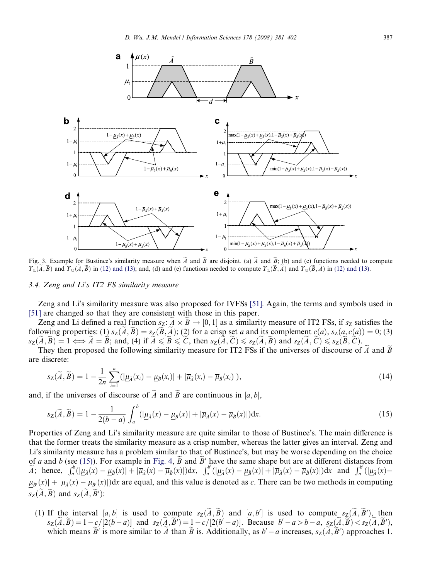<span id="page-6-0"></span>

Fig. 3. Example for Bustince's similarity measure when  $\tilde{A}$  and  $\tilde{B}$  are disjoint. (a)  $\tilde{A}$  and  $\tilde{B}$ ; (b) and (c) functions needed to compute  $\mathcal{T}_{\mathsf{L}}(A, B)$  and  $\mathcal{T}_{\mathsf{U}}(A, B)$  in [\(12\) and \(13\)](#page-5-0); and, (d) and (e) functions needed to compute  $\mathcal{T}_{\mathsf{L}}(B, A)$  and  $\mathcal{T}_{\mathsf{U}}(B, A)$  in (12) and (13).

#### 3.4. Zeng and Li's IT2 FS similarity measure

Zeng and Li's similarity measure was also proposed for IVFSs [\[51\].](#page-21-0) Again, the terms and symbols used in [\[51\]](#page-21-0) are changed so that they are consistent with those in this paper.

Zeng and Li defined a real function  $s_Z: A \times B \to [0,1]$  as a similarity measure of IT2 FSs, if  $s_Z$  satisfies the following properties: (1)  $s_Z(\tilde{A}, \tilde{B}) = s_Z(\tilde{B}, \tilde{A})$ ; (2) for a crisp set a and its complement  $c(a)$ ,  $s_Z(a, c(a)) = 0$ ; (3)  $s_Z(\tilde{A}, \tilde{B}) = 1 \Longleftrightarrow \tilde{A} = \tilde{B}$ ; and, (4) if  $\tilde{A} \leq \tilde{B} \leq \tilde{C}$ , then  $s_Z(\tilde{A}, \tilde{C}) \leq s_Z(\tilde{A}, \tilde{B})$  and  $s_Z(\tilde{A}, \tilde{C}) \leq s_Z(\tilde{B}, \tilde{C})$ .

They then proposed the following similarity measure for IT2 FSs if the universes of discourse of  $\tilde{A}$  and  $\tilde{B}$ are discrete:

$$
s_{\mathbf{Z}}(\widetilde{A},\widetilde{B})=1-\frac{1}{2n}\sum_{i=1}^{n}(|\underline{\mu}_{\widetilde{A}}(x_i)-\underline{\mu}_{\widetilde{B}}(x_i)|+|\overline{\mu}_{\widetilde{A}}(x_i)-\overline{\mu}_{\widetilde{B}}(x_i)|),
$$
\n(14)

and, if the universes of discourse of A and B are continuous in  $[a, b]$ ,

$$
s_{\mathbf{Z}}(\widetilde{A}, \widetilde{B}) = 1 - \frac{1}{2(b-a)} \int_{a}^{b} (|\underline{\mu}_{\widetilde{A}}(x) - \underline{\mu}_{\widetilde{B}}(x)| + |\overline{\mu}_{\widetilde{A}}(x) - \overline{\mu}_{\widetilde{B}}(x)|) dx.
$$
 (15)

Properties of Zeng and Li's similarity measure are quite similar to those of Bustince's. The main difference is that the former treats the similarity measure as a crisp number, whereas the latter gives an interval. Zeng and Li's similarity measure has a problem similar to that of Bustince's, but may be worse depending on the choice of *a* and *b* (see (15)). For example in [Fig. 4,](#page-7-0) *B* and *B'* have the same shape but are at different distances from<br>*A*; hence,  $\int_a^b (\mu_{\tilde{A}}(x) - \mu_{\tilde{B}}(x)) + |\overline{\mu}_{\tilde{A}}(x) - \overline{\mu}_{\tilde{B}}(x)|)dx$ ,  $\int_a^{b'} (\mu_{\tilde{A}}(x) - \mu$  $\mu_{\tilde{B}'}(x) + |\overline{\mu}_{\tilde{A}}(x) - \overline{\mu}_{\tilde{B}'}(x)|$  are equal, and this value is denoted as c. There can be two methods in computing  $s_Z(\overline{A}, \overline{B})$  and  $s_Z(\overline{A}, \overline{B}')$ :

(1) If the interval [a, b] is used to compute  $s_Z(\tilde{A}, \tilde{B})$  and [a, b'] is used to compute  $s_Z(\tilde{A}, \tilde{B}')$ , then  $s_Z(\tilde{A}, \tilde{B}) = 1 - c/[2(b-a)]$  and  $s_Z(\tilde{A}, \tilde{B}') = 1 - c/[2(b'-a)]$ . Because  $b'-a > b-a$ ,  $s_Z(\tilde{A}, \tilde{B}) < s_Z(\tilde{A}, \tilde{B}')$ , which means  $\tilde{B}'$  is more similar to  $\tilde{A}$  than  $\tilde{B}$  is. Additionally, as  $b'-a$  increases,  $s_Z(\tilde{A}, \tilde{B}')$  approaches 1.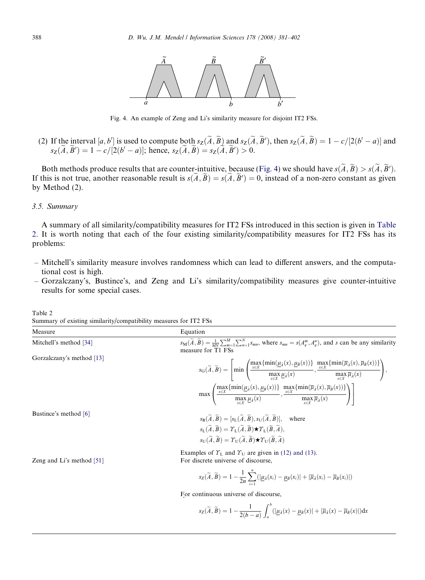<span id="page-7-0"></span>

Fig. 4. An example of Zeng and Li's similarity measure for disjoint IT2 FSs.

(2) If the interval  $[a, b']$  is used to compute both  $s_Z(\tilde{A}, \tilde{B})$  and  $s_Z(\tilde{A}, \tilde{B}')$ , then  $s_Z(\tilde{A}, \tilde{B}) = 1 - c/[2(b'-a)]$  and  $s_Z(\tilde{A}, \tilde{B}') = 1 - c/[2(b'-a)];$  hence,  $s_Z(\tilde{A}, \tilde{B}) = s_Z(\tilde{A}, \tilde{B}') > 0.$ 

Both methods produce results that are counter-intuitive, because (Fig. 4) we should have  $s(A, \overline{B}) > s(A, \overline{B}')$ . If this is not true, another reasonable result is  $s(A, B) = s(A, B') = 0$ , instead of a non-zero constant as given by Method (2).

# 3.5. Summary

A summary of all similarity/compatibility measures for IT2 FSs introduced in this section is given in Table 2. It is worth noting that each of the four existing similarity/compatibility measures for IT2 FSs has its problems:

- Mitchell's similarity measure involves randomness which can lead to different answers, and the computational cost is high.
- Gorzalczany's, Bustince's, and Zeng and Li's similarity/compatibility measures give counter-intuitive results for some special cases.

Table 2 Summary of existing similarity/compatibility measures for IT2 FSs

| Measure                     | Equation                                                                                                                                                                                                                                                                                                                                                                                                                                                                              |  |  |  |  |
|-----------------------------|---------------------------------------------------------------------------------------------------------------------------------------------------------------------------------------------------------------------------------------------------------------------------------------------------------------------------------------------------------------------------------------------------------------------------------------------------------------------------------------|--|--|--|--|
| Mitchell's method [34]      | $s_{\text{M}}(\widetilde{A}, \widetilde{B}) = \frac{1}{MN} \sum_{m=1}^{M} \sum_{n=1}^{N} s_{mn}$ , where $s_{mn} = s(A_{e}^{m}, A_{e}^{n})$ , and s can be any similarity<br>measure for T1 FSs                                                                                                                                                                                                                                                                                       |  |  |  |  |
| Gorzalczany's method [13]   | $s_{\mathrm{G}}(\widetilde{A},\widetilde{B})=\left[\min\left(\frac{\max\{\min(\underline{\mu_{\widetilde{A}}}(x),\underline{\mu_{\widetilde{B}}}(x))\}}{\max\limits_{x\in X}\underline{\mu_{\widetilde{A}}}(x)},\frac{\max\{\min(\overline{\mu_{\widetilde{A}}}(x),\overline{\mu_{\widetilde{B}}}(x))\}}{\max\limits_{x\in X}\overline{\mu_{\widetilde{A}}}(x)}\right),$                                                                                                              |  |  |  |  |
|                             | $\max\left(\frac{\max\{\min(\underline{\mu}_\lambda(x),\underline{\mu}_\beta(x))\}}{\max\limits_{x\in X}\underline{\mu}_\lambda(x)},\frac{\max\{\min(\overline{\mu}_\lambda(x),\overline{\mu}_\beta(x))\}}{\max\limits_{x\in X}\overline{\mu}_\lambda(x)}\right)\right)$                                                                                                                                                                                                              |  |  |  |  |
| Bustince's method [6]       | $s_{\text{B}}(\widetilde{A}, \widetilde{B}) = [s_{\text{L}}(\widetilde{A}, \widetilde{B}), s_{\text{U}}(\widetilde{A}, \widetilde{B})], \text{ where}$<br>$s_{\mathsf{L}}(\widetilde{A}, \widetilde{B}) = \Upsilon_{\mathsf{L}}(\widetilde{A}, \widetilde{B}) \star \Upsilon_{\mathsf{L}}(\widetilde{B}, \widetilde{A}),$<br>$s_{\text{U}}(\widetilde{A}, \widetilde{B}) = \Upsilon_{\text{U}}(\widetilde{A}, \widetilde{B}) \star \Upsilon_{\text{U}}(\widetilde{B}, \widetilde{A})$ |  |  |  |  |
| Zeng and Li's method $[51]$ | Examples of $T_L$ and $T_U$ are given in (12) and (13).<br>For discrete universe of discourse,                                                                                                                                                                                                                                                                                                                                                                                        |  |  |  |  |

$$
s_{\mathbf{Z}}(\widetilde{A},\widetilde{B})=1-\frac{1}{2n}\sum_{i=1}^{n}(|\underline{\mu}_{\widetilde{A}}(x_i)-\underline{\mu}_{\widetilde{B}}(x_i)|+|\overline{\mu}_{\widetilde{A}}(x_i)-\overline{\mu}_{\widetilde{B}}(x_i)|)
$$

For continuous universe of discourse,

$$
s_{\mathbf{Z}}(\widetilde{A}, \widetilde{B}) = 1 - \frac{1}{2(b-a)} \int_{a}^{b} (|\underline{\mu}_{\widetilde{A}}(x) - \underline{\mu}_{\widetilde{B}}(x)| + |\overline{\mu}_{\widetilde{A}}(x) - \overline{\mu}_{\widetilde{B}}(x)|) dx
$$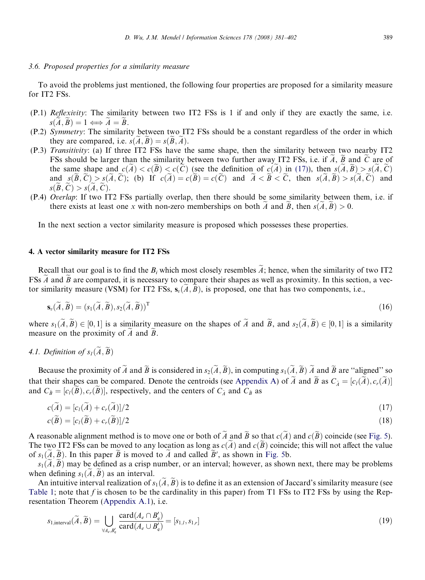# <span id="page-8-0"></span>3.6. Proposed properties for a similarity measure

To avoid the problems just mentioned, the following four properties are proposed for a similarity measure for IT2 FSs.

- (P.1) Reflexivity: The similarity between two IT2 FSs is 1 if and only if they are exactly the same, i.e.  $s(\tilde{A}, \tilde{B}) = 1 \Longleftrightarrow \tilde{A} = \tilde{B}.$
- (P.2) Symmetry: The similarity between two IT2 FSs should be a constant regardless of the order in which they are compared, i.e.  $s(\tilde{A}, \tilde{B}) = s(\tilde{B}, \tilde{A})$ .
- (P.3) Transitivity: (a) If three IT2 FSs have the same shape, then the similarity between two nearby IT2 FSs should be larger than the similarity between two further away IT2 FSs, i.e. if  $\tilde{A}$ ,  $\tilde{B}$  and  $\tilde{C}$  are of the same shape and  $c(\tilde{A}) < c(\tilde{B}) < c(\tilde{C})$  (see the definition of  $c(\tilde{A})$  in (17)), then  $s(\tilde{A}, \tilde{B}) > s(\tilde{A}, \tilde{C})$ and  $s(\tilde{B}, \tilde{C}) > s(\tilde{A}, \tilde{C})$ ; (b) If  $c(\tilde{A}) = c(\tilde{B}) = c(\tilde{C})$  and  $\tilde{A} < \tilde{B} < \tilde{C}$ , then  $s(\tilde{A}, \tilde{B}) > s(\tilde{A}, \tilde{C})$  and  $s(B, C) > s(A, C).$
- (P.4) Overlap: If two IT2 FSs partially overlap, then there should be some similarity between them, i.e. if there exists at least one x with non-zero memberships on both  $\tilde{A}$  and  $\tilde{B}$ , then  $s(\tilde{A}, \tilde{B}) > 0$ .

In the next section a vector similarity measure is proposed which possesses these properties.

# 4. A vector similarity measure for IT2 FSs

Recall that our goal is to find the B<sub>i</sub> which most closely resembles  $\tilde{A}$ ; hence, when the similarity of two IT2 FSs  $\tilde{A}$  and  $\tilde{B}$  are compared, it is necessary to compare their shapes as well as proximity. In this section, a vector similarity measure (VSM) for IT2 FSs,  $s_n(A, B)$ , is proposed, one that has two components, i.e.,

$$
\mathbf{s}_{v}(\widetilde{A},\widetilde{B}) = (s_{1}(\widetilde{A},\widetilde{B}),s_{2}(\widetilde{A},\widetilde{B}))^{T}
$$
\n(16)

where  $s_1(\tilde{A}, \tilde{B}) \in [0, 1]$  is a similarity measure on the shapes of  $\tilde{A}$  and  $\tilde{B}$ , and  $s_2(\tilde{A}, \tilde{B}) \in [0, 1]$  is a similarity measure on the proximity of  $\ddot{A}$  and  $\ddot{B}$ .

# 4.1. Definition of  $s_l(\widetilde{A}, \widetilde{B})$

Because the proximity of  $\widetilde{A}$  and  $\widetilde{B}$  is considered in  $s_2(\widetilde{A}, \widetilde{B})$ , in computing  $s_1(\widetilde{A}, \widetilde{B})$   $\widetilde{A}$  and  $\widetilde{B}$  are "aligned" so that their shapes can be compared. Denote the centroids (see [Appendix A](#page-17-0)) of  $\tilde{A}$  and  $\tilde{B}$  as  $C_{\tilde{A}} = [c_l(\tilde{A}), c_r(\tilde{A})]$ and  $C_{\tilde{B}}=[c_l(\tilde{B}), c_r(\tilde{B})]$ , respectively, and the centers of  $C_{\tilde{A}}$  and  $C_{\tilde{B}}$  as

$$
c(\widetilde{A}) = [c_l(\widetilde{A}) + c_r(\widetilde{A})]/2
$$
  
\n
$$
c(\widetilde{B}) = [c_l(\widetilde{B}) + c_r(\widetilde{B})]/2
$$
\n(18)

A reasonable alignment method is to move one or both of  $\widetilde{A}$  and  $\widetilde{B}$  so that  $c(\widetilde{A})$  and  $c(\widetilde{B})$  coincide (see [Fig. 5](#page-9-0)). The two IT2 FSs can be moved to any location as long as  $c(\tilde{A})$  and  $c(\tilde{B})$  coincide; this will not affect the value of  $s_1(A, B)$ . In this paper B is moved to A and called B', as shown in [Fig. 5](#page-9-0)b.

 $s_1(A, \overline{B})$  may be defined as a crisp number, or an interval; however, as shown next, there may be problems when defining  $s_1(A, B)$  as an interval.

An intuitive interval realization of  $s_1(\tilde{A}, \tilde{B})$  is to define it as an extension of Jaccard's similarity measure (see [Table 1](#page-3-0); note that f is chosen to be the cardinality in this paper) from T1 FSs to IT2 FSs by using the Representation Theorem (Appendix A.1), i.e.

$$
s_{1,\text{interval}}(\widetilde{A}, \widetilde{B}) = \bigcup_{\forall A_e, B'_e} \frac{\text{card}(A_e \cap B'_e)}{\text{card}(A_e \cup B'_e)} = [s_{1,l}, s_{1,r}]
$$
\n(19)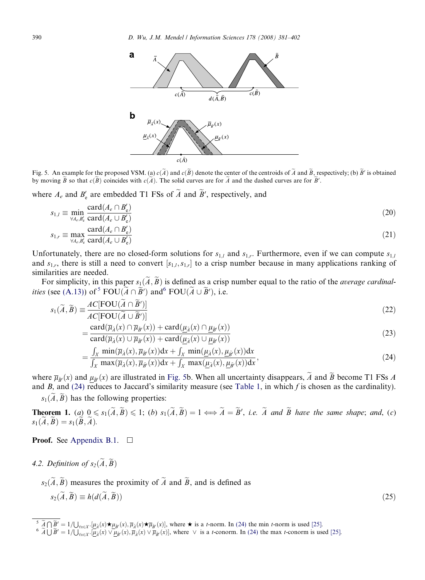<span id="page-9-0"></span>

Fig. 5. An example for the proposed VSM. (a)  $c(\tilde{A})$  and  $c(\tilde{B})$  denote the center of the centroids of  $\tilde{A}$  and  $\tilde{B}$ , respectively; (b)  $\tilde{B}'$  is obtained by moving B so that  $c(B)$  coincides with  $c(A)$ . The solid curves are for A and the dashed curves are for B'.

where  $A_e$  and  $B'_e$  are embedded T1 FSs of  $\overline{A}$  and  $\overline{B}'$ , respectively, and

$$
s_{1,l} \equiv \min_{\forall A_e, B'_e} \frac{\text{card}(A_e \cap B'_e)}{\text{card}(A_e \cup B'_e)}
$$
(20)  

$$
s_{1,l} = \max_{\forall A_e, B'_e} \frac{\text{card}(A_e \cap B'_e)}{\text{card}(A_e \cap B'_e)}
$$
(21)

$$
s_{1,r} \equiv \max_{\forall A_e, B'_e} \frac{\text{card}(A_e \cup B'_e)}{\text{card}(A_e \cup B'_e)}\tag{21}
$$

Unfortunately, there are no closed-form solutions for  $s_{1,i}$  and  $s_{1,i}$ . Furthermore, even if we can compute  $s_{1,i}$ and  $s_{1,r}$ , there is still a need to convert  $[s_{1,t},s_{1,r}]$  to a crisp number because in many applications ranking of similarities are needed.

For simplicity, in this paper  $s_1(\tilde{A}, \tilde{B})$  is defined as a crisp number equal to the ratio of the *average cardinalities* (see [\(A.13\)\)](#page-17-0) of <sup>5</sup> FOU( $\widetilde{A} \cap \widetilde{B}'$ ) and <sup>6</sup> FOU( $\widetilde{A} \cup \widetilde{B}'$ ), i.e.

$$
s_1(\widetilde{A}, \widetilde{B}) \equiv \frac{AC[\text{FOU}(A \cap \widetilde{B}')]}{AC[\text{FOU}(\widetilde{A} \cup \widetilde{B}')]}\tag{22}
$$

$$
=\frac{\operatorname{card}(\overline{\mu}_{\tilde{A}}(x) \cap \overline{\mu}_{\tilde{B}'}(x)) + \operatorname{card}(\underline{\mu}_{\tilde{A}}(x) \cap \underline{\mu}_{\tilde{B}'}(x))}{\operatorname{card}(\overline{\mu}_{\tilde{A}}(x) \cup \overline{\mu}_{\tilde{B}'}(x)) + \operatorname{card}(\mu_{\tilde{A}}(x) \cup \mu_{\tilde{B}'}(x))}
$$
(23)

$$
=\frac{\int_X \min(\overline{\mu}_{\tilde{A}}(x),\overline{\mu}_{\tilde{B}'}(x))dx + \int_X \min(\mu_{\tilde{A}}(x),\mu_{\tilde{B}'}(x))dx}{\int_X \max(\overline{\mu}_{\tilde{A}}(x),\overline{\mu}_{\tilde{B}'}(x))dx + \int_X \max(\mu_{\tilde{A}}(x),\mu_{\tilde{B}'}(x))dx},
$$
\n(24)

where  $\overline{\mu}_{\tilde{B}'}(x)$  and  $\mu_{\tilde{B}'}(x)$  are illustrated in Fig. 5b. When all uncertainty disappears,  $\tilde{A}$  and  $\tilde{B}$  become T1 FSs A and B, and (24) reduces to Jaccard's similarity measure (see [Table 1,](#page-3-0) in which f is chosen as the cardinality).  $s_1(\tilde{A}, \tilde{B})$  has the following properties:

**Theorem 1.** (a)  $0 \le s_1(\widetilde{A}, \widetilde{B}) \le 1$ ; (b)  $s_1(\widetilde{A}, \widetilde{B}) = 1 \Longleftrightarrow \widetilde{A} = \widetilde{B}'$ , i.e.  $\widetilde{A}$  and  $\widetilde{B}$  have the same shape; and, (c)  $s_1(\tilde{A}, \tilde{B}) = s_1(\tilde{B}, \tilde{A}).$ 

# **Proof.** See Appendix B.1.  $\Box$

4.2. Definition of  $s_2(\widetilde{A}, \widetilde{B})$ 

 $s_2(\tilde{A}, \tilde{B})$  measures the proximity of  $\tilde{A}$  and  $\tilde{B}$ , and is defined as  $s_2(\widetilde{A}, \widetilde{B}) \equiv h(d(\widetilde{A}, \widetilde{B}))$ (25)

 $\frac{\delta \widetilde{A} \cap \widetilde{B}'}{\delta \widetilde{A} \cup \widetilde{B}'} = 1/\bigcup_{\forall x \in X} \left[ \mu_{\widetilde{A}}(x) \star \mu_{\widetilde{B}'}(x), \overline{\mu}_{\widetilde{A}}(x) \star \overline{\mu}_{\widetilde{B}'}(x) \right],$  where  $\star$  is a *t*-norm. In (24) the min *t*-norm is used [\[25\].](#page-20-0)<br>  $\delta \widetilde{A} \cup \widetilde{B}' = 1/\bigcup_{\forall$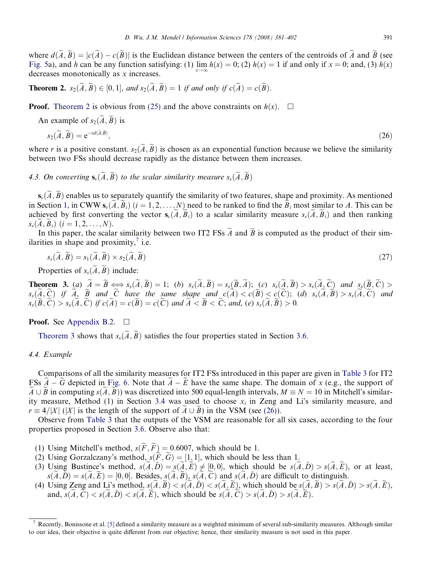<span id="page-10-0"></span>where  $d(\widetilde{A}, \widetilde{B}) = |c(\widetilde{A}) - c(\widetilde{B})|$  is the Euclidean distance between the centers of the centroids of  $\widetilde{A}$  and  $\widetilde{B}$  (see [Fig. 5a](#page-9-0)), and h can be any function satisfying: (1)  $\lim h(x) = 0$ ; (2)  $h(x) = 1$  if and only if  $x = 0$ ; and, (3)  $h(x)$ decreases monotonically as x increases.

**Theorem 2.**  $s_2(\widetilde{A}, \widetilde{B}) \in [0, 1]$ , and  $s_2(\widetilde{A}, \widetilde{B}) = 1$  if and only if  $c(\widetilde{A}) = c(\widetilde{B})$ .

**Proof.** Theorem 2 is obvious from [\(25\)](#page-9-0) and the above constraints on  $h(x)$ .  $\Box$ 

An example of  $s_2(\widetilde{A}, \widetilde{B})$  is

$$
s_2(\widetilde{A}, \widetilde{B}) = e^{-rd(\widetilde{A}, \widetilde{B})},\tag{26}
$$

where r is a positive constant.  $s_2(\tilde{A}, \tilde{B})$  is chosen as an exponential function because we believe the similarity between two FSs should decrease rapidly as the distance between them increases.

4.3. On converting  $\mathbf{s}_n(\widetilde{A}, \widetilde{B})$  to the scalar similarity measure  $s_s(\widetilde{A}, \widetilde{B})$ 

 $s_{\nu}(\tilde{A}, \tilde{B})$  enables us to separately quantify the similarity of two features, shape and proximity. As mentioned in Section [1](#page-0-0), in CWW  $\mathbf{s}_{v}(\tilde{A}, \tilde{B}_{i})$   $(i = 1, 2, ..., N)$  need to be ranked to find the  $\tilde{B}_{i}$  most similar to A. This can be achieved by first converting the vector  $s_{\nu}(\tilde{A}, \tilde{B}_i)$  to a scalar similarity measure  $s_{\nu}(\tilde{A}, \tilde{B}_i)$  and then ranking  $s_s(A, B_i)$   $(i = 1, 2, ..., N)$ .

In this paper, the scalar similarity between two IT2 FSs  $\tilde{A}$  and  $\tilde{B}$  is computed as the product of their similarities in shape and proximity, $\frac{7}{1}$  i.e.

$$
s_s(\widetilde{A}, \widetilde{B}) = s_1(\widetilde{A}, \widetilde{B}) \times s_2(\widetilde{A}, \widetilde{B})
$$
\n<sup>(27)</sup>

Properties of  $s_s(\widetilde{A}, \widetilde{B})$  include:

**Theorem 3.** (a)  $A = B \Longleftrightarrow s_s(A, B) = 1$ ; (b)  $s_s(A, B) = s_s(B, A)$ ; (c)  $s_s(A, B) > s_s(A, C)$  and  $s_s(B, C) >$  $s_s(A,C)$  if  $A, B$  and  $C$  have the same shape and  $c(A) < c(B) < c(C)$ ; (d)  $s_s(A,B) > s_s(A,C)$  and  $s_{s}(\widetilde{B},\widetilde{C}) > s_{s}(\widetilde{A},\widetilde{C})$  if  $c(\widetilde{A}) = c(\widetilde{B}) = c(\widetilde{C})$  and  $\widetilde{A} < \widetilde{B} < \widetilde{C}$ ; and, (e)  $s_{s}(\widetilde{A},\widetilde{B}) > 0$ .

# **Proof.** See Appendix B.2.  $\Box$

Theorem 3 shows that  $s_s(\tilde{A}, \tilde{B})$  satisfies the four properties stated in Section [3.6.](#page-8-0)

# 4.4. Example

Comparisons of all the similarity measures for IT2 FSs introduced in this paper are given in [Table 3](#page-11-0) for IT2 FSs  $A-G$  depicted in [Fig. 6](#page-11-0). Note that  $A-\overline{E}$  have the same shape. The domain of x (e.g., the support of  $A \cup B$  in computing  $s(A, B)$ ) was discretized into 500 equal-length intervals,  $M \equiv N = 10$  in Mitchell's similar-ity measure, Method (1) in Section [3.4](#page-6-0) was used to choose  $x_i$  in Zeng and Li's similarity measure, and  $r \equiv 4/|X|$  (|X| is the length of the support of  $A \cup B$ ) in the VSM (see (26)).

Observe from [Table 3](#page-11-0) that the outputs of the VSM are reasonable for all six cases, according to the four properties proposed in Section [3.6.](#page-8-0) Observe also that:

- (1) Using Mitchell's method,  $s(F, F) = 0.6007$ , which should be 1.
- (2) Using Gorzalczany's method,  $s(F, G) = [1, 1]$ , which should be less than 1.
- (3) Using Bustince's method,  $s(\tilde{A}, \tilde{D}) = s(\tilde{A}, \tilde{E}) \neq [0, 0]$ , which should be  $s(\tilde{A}, \tilde{D}) > s(\tilde{A}, \tilde{E})$ , or at least,  $s(\tilde{A}, \tilde{D}) = s(\tilde{A}, \tilde{E}) = [0, 0]$ . Besides,  $s(\tilde{A}, \tilde{B})$ ,  $s(\tilde{A}, \tilde{C})$  and  $s(\tilde{A}, \tilde{D})$  are difficult to distinguish.
- (4) Using Zeng and Li's method,  $s(A, B) < s(\overline{A}, \overline{D}) < s(\overline{A}, \overline{E})$ , which should be  $s(\overline{A}, \overline{B}) > s(\overline{A}, \overline{D}) > s(\overline{A}, \overline{E})$ , and,  $s(\overline{A}, \overline{C}) < s(\overline{A}, \overline{D}) < s(\overline{A}, \overline{E})$ , which should be  $s(\overline{A}, \overline{C}) > s(\overline{A}, \overline{D}) > s(\overline{A}, \overline{E})$ .

<sup>7</sup> Recently, Bonissone et al. [\[5\]](#page-19-0) defined a similarity measure as a weighted minimum of several sub-similarity measures. Although similar to our idea, their objective is quite different from our objective; hence, their similarity measure is not used in this paper.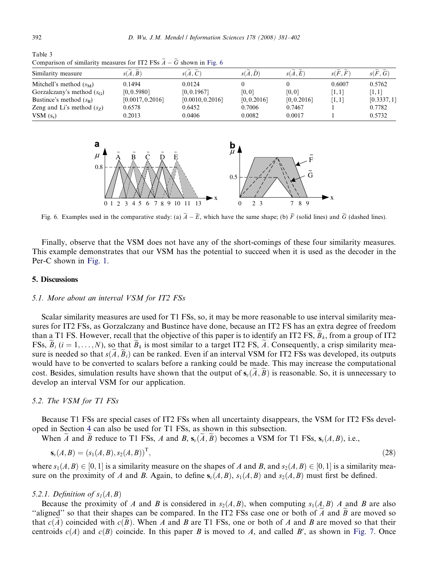<span id="page-11-0"></span>Table 3

| Similarity measure           | s(A, B)          | s(A, C)          | s(A, D)     | s(A,E)      | s(F, F) | s(F, G)     |
|------------------------------|------------------|------------------|-------------|-------------|---------|-------------|
| Mitchell's method $(s_M)$    | 0.1494           | 0.0124           |             |             | 0.6007  | 0.5762      |
| Gorzalczany's method $(s_G)$ | [0, 0.5980]      | [0, 0.1967]      | [0, 0]      | [0,0]       | [1,1]   | '1, 11      |
| Bustince's method $(s_{B})$  | [0.0017, 0.2016] | [0.0010, 0.2016] | [0, 0.2016] | [0, 0.2016] | [1,1]   | [0.3337, 1] |
| Zeng and Li's method $(sz)$  | 0.6578           | 0.6452           | 0.7006      | 0.7467      |         | 0.7782      |
| VSM $(s_*)$                  | 0.2013           | 0.0406           | 0.0082      | 0.0017      |         | 0.5732      |

Comparison of similarity measures for IT2 FSs  $\widetilde{A} - \widetilde{G}$  shown in Fig. 6



Fig. 6. Examples used in the comparative study: (a)  $A - E$ , which have the same shape; (b) F (solid lines) and G (dashed lines).

Finally, observe that the VSM does not have any of the short-comings of these four similarity measures. This example demonstrates that our VSM has the potential to succeed when it is used as the decoder in the Per-C shown in [Fig. 1](#page-1-0).

### 5. Discussions

#### 5.1. More about an interval VSM for IT2 FSs

Scalar similarity measures are used for T1 FSs, so, it may be more reasonable to use interval similarity measures for IT2 FSs, as Gorzalczany and Bustince have done, because an IT2 FS has an extra degree of freedom than a T1 FS. However, recall that the objective of this paper is to identify an IT2 FS,  $B_k$ , from a group of IT2 FSs,  $B_i$  (i = 1, ..., N), so that  $B_k$  is most similar to a target IT2 FS, A. Consequently, a crisp similarity measure is needed so that  $s(A, B_i)$  can be ranked. Even if an interval VSM for IT2 FSs was developed, its outputs would have to be converted to scalars before a ranking could be made. This may increase the computational cost. Besides, simulation results have shown that the output of  $s_v(A, B)$  is reasonable. So, it is unnecessary to develop an interval VSM for our application.

# 5.2. The VSM for T1 FSs

Because T1 FSs are special cases of IT2 FSs when all uncertainty disappears, the VSM for IT2 FSs developed in Section [4](#page-8-0) can also be used for T1 FSs, as shown in this subsection.

When A and B reduce to T1 FSs, A and B,  $s_n(A, \tilde{B})$  becomes a VSM for T1 FSs,  $s_n(A, B)$ , i.e.,

$$
\mathbf{s}_v(A,B) = (s_1(A,B), s_2(A,B))^T, \tag{28}
$$

where  $s_1(A, B) \in [0, 1]$  is a similarity measure on the shapes of A and B, and  $s_2(A, B) \in [0, 1]$  is a similarity measure on the proximity of A and B. Again, to define  $s_v(A, B)$ ,  $s_1(A, B)$  and  $s_2(A, B)$  must first be defined.

# 5.2.1. Definition of  $s<sub>1</sub>(A, B)$

Because the proximity of A and B is considered in  $s_2(A, B)$ , when computing  $s_1(A, B)$  A and B are also "aligned" so that their shapes can be compared. In the IT2 FSs case one or both of  $A$  and  $B$  are moved so that  $c(A)$  coincided with  $c(B)$ . When A and B are T1 FSs, one or both of A and B are moved so that their centroids  $c(A)$  and  $c(B)$  coincide. In this paper B is moved to A, and called B', as shown in [Fig. 7.](#page-12-0) Once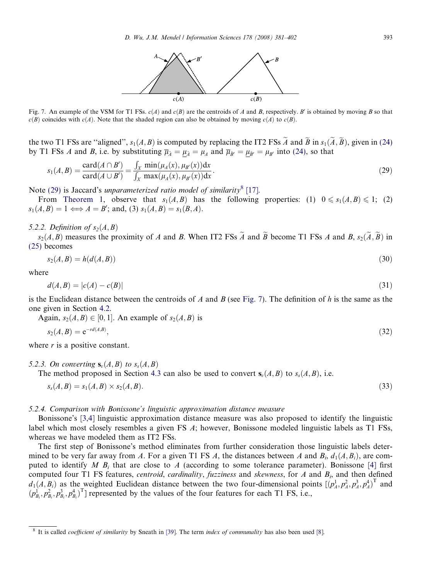

<span id="page-12-0"></span>Fig. 7. An example of the VSM for T1 FSs.  $c(A)$  and  $c(B)$  are the centroids of A and B, respectively. B' is obtained by moving B so that  $c(B)$  coincides with  $c(A)$ . Note that the shaded region can also be obtained by moving  $c(A)$  to  $c(B)$ .

the two T1 FSs are "aligned",  $s_1(A, B)$  is computed by replacing the IT2 FSs A and B in  $s_1(A, B)$ , given in (24) by T1 FSs A and B, i.e. by substituting  $\overline{\mu}_{\tilde{A}} = \mu_{\tilde{A}} = \mu_A$  and  $\overline{\mu}_{\tilde{B}'} = \mu_{\tilde{B}'} = \mu_{B'}$  into (24), so that

$$
s_1(A, B) = \frac{\text{card}(A \cap B')}{\text{card}(A \cup B')} = \frac{\int_X \min(\mu_A(x), \mu_{B'}(x)) dx}{\int_X \max(\mu_A(x), \mu_{B'}(x)) dx}.
$$
 (29)

Note (29) is Jaccard's unparameterized ratio model of similarity<sup>8</sup> [\[17\].](#page-20-0)

From [Theorem 1](#page-9-0), observe that  $s_1(A, B)$  has the following properties: (1)  $0 \le s_1(A, B) \le 1$ ; (2)  $s_1(A, B) = 1 \Longleftrightarrow A = B'$ ; and, (3)  $s_1(A, B) = s_1(B, A)$ .

#### 5.2.2. Definition of  $s_2(A, B)$

 $s_2(A, B)$  measures the proximity of A and B. When IT2 FSs  $\widetilde{A}$  and  $\widetilde{B}$  become T1 FSs A and B,  $s_2(\widetilde{A}, \widetilde{B})$  in [\(25\)](#page-9-0) becomes

$$
s_2(A,B) = h(d(A,B))
$$
\n<sup>(30)</sup>

where

$$
d(A, B) = |c(A) - c(B)| \tag{31}
$$

is the Euclidean distance between the centroids of A and B (see Fig. 7). The definition of h is the same as the one given in Section [4.2](#page-9-0).

Again,  $s_2(A, B) \in [0, 1]$ . An example of  $s_2(A, B)$  is

$$
s_2(A,B) = e^{-rd(A,B)},\tag{32}
$$

where  $r$  is a positive constant.

# 5.2.3. On converting  $\mathbf{s}_v(A, B)$  to  $s_s(A, B)$

The method proposed in Section [4.3](#page-10-0) can also be used to convert  $s<sub>v</sub>(A, B)$  to  $s<sub>s</sub>(A, B)$ , i.e.

$$
s_s(A, B) = s_1(A, B) \times s_2(A, B). \tag{33}
$$

#### 5.2.4. Comparison with Bonissone's linguistic approximation distance measure

Bonissone's [\[3,4\]](#page-19-0) linguistic approximation distance measure was also proposed to identify the linguistic label which most closely resembles a given FS A; however, Bonissone modeled linguistic labels as T1 FSs, whereas we have modeled them as IT2 FSs.

The first step of Bonissone's method eliminates from further consideration those linguistic labels determined to be very far away from A. For a given T1 FS A, the distances between A and  $B_i$ ,  $d_1(A, B_i)$ , are computed to identify M  $B_i$  that are close to A (according to some tolerance parameter). Bonissone [\[4\]](#page-19-0) first computed four T1 FS features, *centroid, cardinality, fuzziness* and *skewness*, for  $A$  and  $B<sub>i</sub>$ , and then defined  $d_1(A, B_i)$  as the weighted Euclidean distance between the two four-dimensional points  $[(p_A^1, p_A^2, p_A^3, p_A^4)^T$  and  $(p_{B_i}^1, p_{B_i}^2, p_{B_i}^3, p_{B_i}^4)^T$ ] represented by the values of the four features for each T1 FS, i.e.,

It is called *coefficient of similarity* by Sneath in [\[39\].](#page-20-0) The term *index of communality* has also been used [\[8\].](#page-20-0)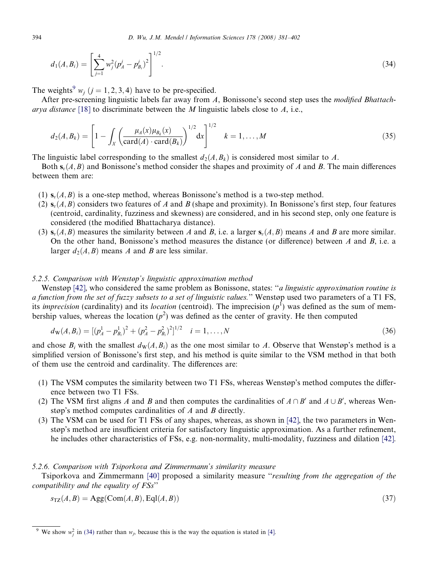$$
d_1(A, B_i) = \left[\sum_{j=1}^4 w_j^2 (p_A^j - p_{B_i}^j)^2\right]^{1/2}.
$$
\n(34)

The weights<sup>9</sup>  $w_i$  ( $j = 1, 2, 3, 4$ ) have to be pre-specified.

After pre-screening linguistic labels far away from A, Bonissone's second step uses the modified Bhattach-arya distance [\[18\]](#page-20-0) to discriminate between the M linguistic labels close to  $A$ , i.e.,

$$
d_2(A, B_k) = \left[1 - \int_X \left(\frac{\mu_A(x)\mu_{B_k}(x)}{\text{card}(A) \cdot \text{card}(B_k)}\right)^{1/2} dx\right]^{1/2} \quad k = 1, ..., M
$$
 (35)

The linguistic label corresponding to the smallest  $d_2(A, B_k)$  is considered most similar to A.

Both  $s_v(A, B)$  and Bonissone's method consider the shapes and proximity of A and B. The main differences between them are:

- (1)  $s<sub>p</sub>(A, B)$  is a one-step method, whereas Bonissone's method is a two-step method.
- (2)  $\mathbf{s}_v(A, B)$  considers two features of A and B (shape and proximity). In Bonissone's first step, four features (centroid, cardinality, fuzziness and skewness) are considered, and in his second step, only one feature is considered (the modified Bhattacharya distance).
- (3)  $s<sub>v</sub>(A, B)$  measures the similarity between A and B, i.e. a larger  $s<sub>v</sub>(A, B)$  means A and B are more similar. On the other hand, Bonissone's method measures the distance (or difference) between  $A$  and  $B$ , i.e. a larger  $d_2(A, B)$  means A and B are less similar.

# 5.2.5. Comparison with Wenstøp's linguistic approximation method

Wenstøp [\[42\]](#page-20-0), who considered the same problem as Bonissone, states: "*a linguistic approximation routine is* a function from the set of fuzzy subsets to a set of linguistic values.'' Wenstøp used two parameters of a T1 FS, its *imprecision* (cardinality) and its *location* (centroid). The imprecision  $(p^1)$  was defined as the sum of membership values, whereas the location  $(p^2)$  was defined as the center of gravity. He then computed

$$
d_{\mathbf{W}}(A, B_i) = \left[ (p_A^1 - p_{B_i}^1)^2 + (p_A^2 - p_{B_i}^2)^2 \right]^{1/2} \quad i = 1, \dots, N
$$
\n(36)

and chose  $B_i$  with the smallest  $d_{\rm W}(A, B_i)$  as the one most similar to A. Observe that Wenstøp's method is a simplified version of Bonissone's first step, and his method is quite similar to the VSM method in that both of them use the centroid and cardinality. The differences are:

- (1) The VSM computes the similarity between two T1 FSs, whereas Wenstøp's method computes the difference between two T1 FSs.
- (2) The VSM first aligns A and B and then computes the cardinalities of  $A \cap B'$  and  $A \cup B'$ , whereas Wenstøp's method computes cardinalities of A and B directly.
- (3) The VSM can be used for T1 FSs of any shapes, whereas, as shown in [\[42\],](#page-20-0) the two parameters in Wenstøp's method are insufficient criteria for satisfactory linguistic approximation. As a further refinement, he includes other characteristics of FSs, e.g. non-normality, multi-modality, fuzziness and dilation [\[42\].](#page-20-0)

#### 5.2.6. Comparison with Tsiporkova and Zimmermann's similarity measure

Tsiporkova and Zimmermann [\[40\]](#page-20-0) proposed a similarity measure ''resulting from the aggregation of the compatibility and the equality of FSs''

$$
s_{\text{TZ}}(A,B) = \text{Agg}(\text{Com}(A,B), \text{Eql}(A,B)) \tag{37}
$$

<span id="page-13-0"></span>

<sup>&</sup>lt;sup>9</sup> We show  $w_j^2$  in [\(34\)](#page-12-0) rather than  $w_j$ , because this is the way the equation is stated in [\[4\].](#page-19-0)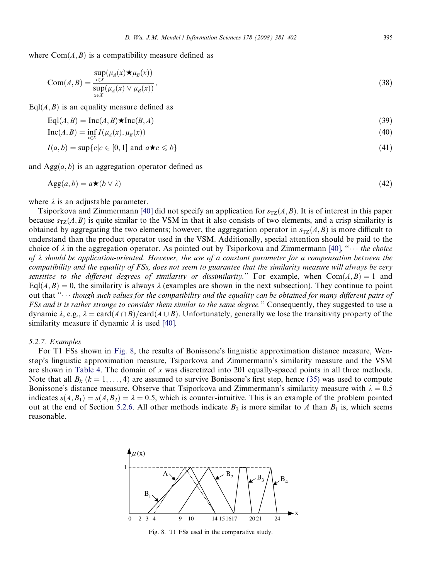<span id="page-14-0"></span>where  $Com(A, B)$  is a compatibility measure defined as

$$
Com(A, B) = \frac{\sup_{x \in X} (\mu_A(x) \star \mu_B(x))}{\sup_{x \in X} (\mu_A(x) \vee \mu_B(x))},
$$
\n(38)

 $EqI(A, B)$  is an equality measure defined as

$$
Eql(A, B) = Inc(A, B) \star Inc(B, A)
$$
\n(39)

$$
\text{Inc}(A, B) = \inf_{x \in X} I(\mu_A(x), \mu_B(x))
$$
\n(40)

$$
I(a,b) = \sup\{c|c \in [0,1] \text{ and } a \star c \leq b\}
$$
\n
$$
(41)
$$

and  $Agg(a, b)$  is an aggregation operator defined as

$$
Agg(a, b) = a \star (b \vee \lambda) \tag{42}
$$

where  $\lambda$  is an adjustable parameter.

Tsiporkova and Zimmermann [\[40\]](#page-20-0) did not specify an application for  $s_{TZ}(A, B)$ . It is of interest in this paper because  $s_{\text{TZ}}(A, B)$  is quite similar to the VSM in that it also consists of two elements, and a crisp similarity is obtained by aggregating the two elements; however, the aggregation operator in  $s_{TZ}(A, B)$  is more difficult to understand than the product operator used in the VSM. Additionally, special attention should be paid to the choice of  $\lambda$  in the aggregation operator. As pointed out by Tsiporkova and Zimmermann [\[40\]](#page-20-0), " $\cdots$  the choice of  $\lambda$  should be application-oriented. However, the use of a constant parameter for a compensation between the compatibility and the equality of FSs, does not seem to guarantee that the similarity measure will always be very sensitive to the different degrees of similarity or dissimilarity." For example, when  $Com(A, B) = 1$  and  $Eq(A, B) = 0$ , the similarity is always  $\lambda$  (examples are shown in the next subsection). They continue to point out that " $\cdots$  though such values for the compatibility and the equality can be obtained for many different pairs of FSs and it is rather strange to consider them similar to the same degree.'' Consequently, they suggested to use a dynamic  $\lambda$ , e.g.,  $\lambda = \text{card}(A \cap B)/\text{card}(A \cup B)$ . Unfortunately, generally we lose the transitivity property of the similarity measure if dynamic  $\lambda$  is used [\[40\].](#page-20-0)

#### 5.2.7. Examples

For T1 FSs shown in Fig. 8, the results of Bonissone's linguistic approximation distance measure, Wenstøp's linguistic approximation measure, Tsiporkova and Zimmermann's similarity measure and the VSM are shown in [Table 4.](#page-15-0) The domain of  $x$  was discretized into 201 equally-spaced points in all three methods. Note that all  $B_k$  ( $k = 1, ..., 4$ ) are assumed to survive Bonissone's first step, hence [\(35\)](#page-13-0) was used to compute Bonissone's distance measure. Observe that Tsiporkova and Zimmermann's similarity measure with  $\lambda = 0.5$ indicates  $s(A, B_1) = s(A, B_2) = \lambda = 0.5$ , which is counter-intuitive. This is an example of the problem pointed out at the end of Section [5.2.6.](#page-13-0) All other methods indicate  $B_2$  is more similar to A than  $B_1$  is, which seems reasonable.



Fig. 8. T1 FSs used in the comparative study.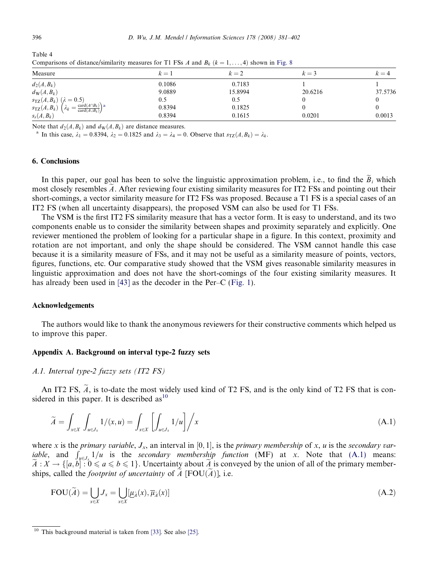| Comparisons of distance/similarity incastries for 11 F bs 21 and $D_K$ ( $\kappa = 1, \ldots, 4$ ) shown in Fig. 6 |        |         |         |         |  |
|--------------------------------------------------------------------------------------------------------------------|--------|---------|---------|---------|--|
| Measure                                                                                                            | $k=1$  | $k=2$   | $k=3$   | $k=4$   |  |
| $d_2(A, B_k)$                                                                                                      | 0.1086 | 0.7183  |         |         |  |
| $d_{\rm W}(A,B_k)$                                                                                                 | 9.0889 | 15.8994 | 20.6216 | 37.5736 |  |
| $s_{\text{TZ}}(A, B_k) \ (\lambda = 0.5)$                                                                          | 0.5    | 0.5     |         |         |  |
| $s_{\text{TZ}}(A, B_k)$ $\left(\lambda_k = \frac{\text{card}(A \cap B_k)}{\text{card}(A \cup B_k)}\right)$ a       | 0.8394 | 0.1825  |         |         |  |
| $s_s(A, B_k)$                                                                                                      | 0.8394 | 0.1615  | 0.0201  | 0.0013  |  |

Comparisons of distance/similarity measures for T1 FSs 4 and B<sub>k</sub>  $(k - 1)$  and shown in [Fig. 8](#page-14-0).

Note that  $d_2(A, B_k)$  and  $d_{\mathbf{W}}(A, B_k)$  are distance measures.<br><sup>a</sup> In this case,  $\lambda_1 = 0.8394$ ,  $\lambda_2 = 0.1825$  and  $\lambda_3 = \lambda_4 = 0$ . Observe that  $s_{\mathbf{TZ}}(A, B_k) = \lambda_k$ .

### 6. Conclusions

In this paper, our goal has been to solve the linguistic approximation problem, i.e., to find the  $\tilde{B}_i$  which most closely resembles  $\tilde{A}$ . After reviewing four existing similarity measures for IT2 FSs and pointing out their short-comings, a vector similarity measure for IT2 FSs was proposed. Because a T1 FS is a special cases of an IT2 FS (when all uncertainty disappears), the proposed VSM can also be used for T1 FSs.

The VSM is the first IT2 FS similarity measure that has a vector form. It is easy to understand, and its two components enable us to consider the similarity between shapes and proximity separately and explicitly. One reviewer mentioned the problem of looking for a particular shape in a figure. In this context, proximity and rotation are not important, and only the shape should be considered. The VSM cannot handle this case because it is a similarity measure of FSs, and it may not be useful as a similarity measure of points, vectors, figures, functions, etc. Our comparative study showed that the VSM gives reasonable similarity measures in linguistic approximation and does not have the short-comings of the four existing similarity measures. It has already been used in [\[43\]](#page-20-0) as the decoder in the Per–C [\(Fig. 1](#page-1-0)).

### Acknowledgements

The authors would like to thank the anonymous reviewers for their constructive comments which helped us to improve this paper.

#### Appendix A. Background on interval type-2 fuzzy sets

# A.1. Interval type-2 fuzzy sets (IT2 FS)

An IT2 FS,  $\widetilde{A}$ , is to-date the most widely used kind of T2 FS, and is the only kind of T2 FS that is considered in this paper. It is described  $as<sup>10</sup>$ 

$$
\widetilde{A} = \int_{x \in X} \int_{u \in J_x} 1/(x, u) = \int_{x \in X} \left[ \int_{u \in J_x} 1/u \right] / x \tag{A.1}
$$

where x is the primary variable,  $J_x$ , an interval in [0, 1], is the primary membership of x, u is the secondary variable, and  $\int_{u \in J_x} 1/u$  is the secondary membership function (MF) at x. Note that (A.1) means:  $A: X \to \{[a, b] : 0 \leq a \leq b \leq 1\}$ . Uncertainty about A is conveyed by the union of all of the primary memberships, called the *footprint of uncertainty* of  $\overline{A}$  [FOU $(\overline{A})$ ], i.e.

$$
FOU(\widetilde{A}) = \bigcup_{x \in X} J_x = \bigcup_{x \in X} [\underline{\mu}_{\widetilde{A}}(x), \overline{\mu}_{\widetilde{A}}(x)]
$$
(A.2)

<span id="page-15-0"></span>Table 4

This background material is taken from [\[33\].](#page-20-0) See also [\[25\]](#page-20-0).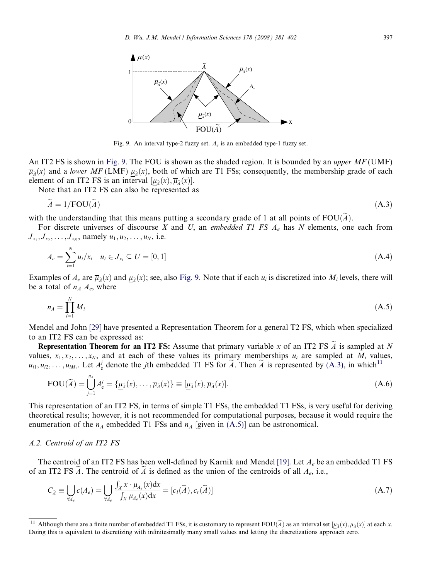<span id="page-16-0"></span>

Fig. 9. An interval type-2 fuzzy set.  $A_e$  is an embedded type-1 fuzzy set.

An IT2 FS is shown in Fig. 9. The FOU is shown as the shaded region. It is bounded by an *upper MF* (UMF)  $\overline{\mu}_\lambda(x)$  and a lower MF (LMF)  $\mu_\lambda(x)$ , both of which are T1 FSs; consequently, the membership grade of each element of an IT2 FS is an interval  $[\mu_{\tilde{A}}(x), \overline{\mu}_{\tilde{A}}(x)].$ 

Note that an IT2 FS can also be represented as

$$
\widetilde{A} = 1/\text{FOU}(\widetilde{A})\tag{A.3}
$$

with the understanding that this means putting a secondary grade of 1 at all points of  $FOU(\tilde{A})$ .

For discrete universes of discourse X and U, an embedded T1 FS  $A_e$  has N elements, one each from  $J_{x_1}, J_{x_2}, \ldots, J_{x_N}$ , namely  $u_1, u_2, \ldots, u_N$ , i.e.

$$
A_e = \sum_{i=1}^{N} u_i / x_i \quad u_i \in J_{x_i} \subseteq U = [0, 1]
$$
\n(A.4)

Examples of  $A_e$  are  $\overline{\mu}_{\lambda}(x)$  and  $\mu_{\lambda}(x)$ ; see, also Fig. 9. Note that if each  $u_i$  is discretized into  $M_i$  levels, there will be a total of  $n_A A_e$ , where

$$
n_A = \prod_{i=1}^{N} M_i
$$
\n(A.5)

Mendel and John [\[29\]](#page-20-0) have presented a Representation Theorem for a general T2 FS, which when specialized to an IT2 FS can be expressed as:

**Representation Theorem for an IT2 FS:** Assume that primary variable x of an IT2 FS  $\tilde{A}$  is sampled at N values,  $x_1, x_2, \ldots, x_N$ , and at each of these values its primary memberships  $u_i$  are sampled at  $M_i$  values,  $u_{i1}, u_{i2}, \ldots, u_{iM_i}$ . Let  $A_e^j$  denote the *j*th embedded T1 FS for  $\widetilde{A}$ . Then  $\widetilde{A}$  is represented by (A.3), in which<sup>11</sup>

$$
FOU(\widetilde{A}) = \bigcup_{j=1}^{n_A} A_e^j = \{ \underline{\mu}_{\widetilde{A}}(x), \dots, \overline{\mu}_{\widetilde{A}}(x) \} \equiv [\underline{\mu}_{\widetilde{A}}(x), \overline{\mu}_{\widetilde{A}}(x)].
$$
\n(A.6)

This representation of an IT2 FS, in terms of simple T1 FSs, the embedded T1 FSs, is very useful for deriving theoretical results; however, it is not recommended for computational purposes, because it would require the enumeration of the  $n_A$  embedded T1 FSs and  $n_A$  [given in (A.5)] can be astronomical.

# A.2. Centroid of an IT2 FS

The centroid of an IT2 FS has been well-defined by Karnik and Mendel [\[19\]](#page-20-0). Let  $A_e$  be an embedded T1 FS of an IT2 FS A. The centroid of A is defined as the union of the centroids of all  $A_e$ , i.e.,

$$
C_{\tilde{A}} \equiv \bigcup_{\forall A_e} c(A_e) = \bigcup_{\forall A_e} \frac{\int_X x \cdot \mu_{A_e}(x) dx}{\int_X \mu_{A_e}(x) dx} = [c_l(\tilde{A}), c_r(\tilde{A})]
$$
\n(A.7)

Although there are a finite number of embedded T1 FSs, it is customary to represent  $FOU(\tilde{A})$  as an interval set  $[\mu_{\tilde{A}}(x), \overline{\mu}_{\tilde{A}}(x)]$  at each x. Doing this is equivalent to discretizing with infinitesimally many small values and letting the discretizations approach zero.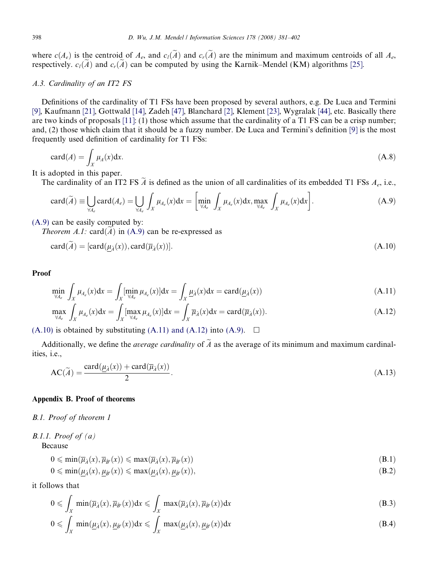<span id="page-17-0"></span>where  $c(A_e)$  is the centroid of  $A_e$ , and  $c_l(\tilde{A})$  and  $c_r(\tilde{A})$  are the minimum and maximum centroids of all  $A_e$ , respectively.  $c_l(\tilde{A})$  and  $c_r(\tilde{A})$  can be computed by using the Karnik–Mendel (KM) algorithms [\[25\]](#page-20-0).

# A.3. Cardinality of an IT2 FS

Definitions of the cardinality of T1 FSs have been proposed by several authors, e.g. De Luca and Termini [\[9\],](#page-20-0) Kaufmann [\[21\]](#page-20-0), Gottwald [\[14\]](#page-20-0), Zadeh [\[47\]](#page-21-0), Blanchard [\[2\],](#page-19-0) Klement [\[23\],](#page-20-0) Wygralak [\[44\],](#page-20-0) etc. Basically there are two kinds of proposals [\[11\]](#page-20-0): (1) those which assume that the cardinality of a T1 FS can be a crisp number; and, (2) those which claim that it should be a fuzzy number. De Luca and Termini's definition [\[9\]](#page-20-0) is the most frequently used definition of cardinality for T1 FSs:

$$
card(A) = \int_X \mu_A(x) dx.
$$
 (A.8)

It is adopted in this paper.

The cardinality of an IT2 FS  $\tilde{A}$  is defined as the union of all cardinalities of its embedded T1 FSs  $A_e$ , i.e.,

$$
\operatorname{card}(\widetilde{A}) \equiv \bigcup_{\forall A_e} \operatorname{card}(A_e) = \bigcup_{\forall A_e} \int_X \mu_{A_e}(x) dx = \left[ \min_{\forall A_e} \int_X \mu_{A_e}(x) dx, \max_{\forall A_e} \int_X \mu_{A_e}(x) dx \right]. \tag{A.9}
$$

(A.9) can be easily computed by:

*Theorem A.1:* card $(\widetilde{A})$  in (A.9) can be re-expressed as

$$
card(A) = [card(\underline{\mu}_{\tilde{A}}(x)), card(\overline{\mu}_{\tilde{A}}(x))].
$$
\n(A.10)

# Proof

$$
\min_{\forall A_e} \int_X \mu_{A_e}(x) dx = \int_X [\min_{\forall A_e} \mu_{A_e}(x)] dx = \int_X \underline{\mu}_{\tilde{A}}(x) dx = \text{card}(\underline{\mu}_{\tilde{A}}(x))
$$
\n(A.11)

$$
\max_{\forall A_e} \int_X \mu_{A_e}(x) dx = \int_X [\max_{\forall A_e} \mu_{A_e}(x)] dx = \int_X \overline{\mu}_{\tilde{A}}(x) dx = \text{card}(\overline{\mu}_{\tilde{A}}(x)). \tag{A.12}
$$

 $(A.10)$  is obtained by substituting  $(A.11)$  and  $(A.12)$  into  $(A.9)$ .  $\Box$ 

Additionally, we define the *average cardinality* of  $\tilde{A}$  as the average of its minimum and maximum cardinalities, i.e.,

$$
AC(\widetilde{A}) = \frac{\text{card}(\mu_{\widetilde{A}}(x)) + \text{card}(\overline{\mu}_{\widetilde{A}}(x))}{2}.
$$
\n(A.13)

# Appendix B. Proof of theorems

# B.1. Proof of theorem 1

B.1.1. Proof of  $(a)$ Because

$$
0 \leqslant \min(\overline{\mu}_{\tilde{A}}(x), \overline{\mu}_{\tilde{B}'}(x)) \leqslant \max(\overline{\mu}_{\tilde{A}}(x), \overline{\mu}_{\tilde{B}'}(x))
$$
\n(B.1)

$$
0 \le \min(\underline{\mu}_{\tilde{A}}(x), \underline{\mu}_{\tilde{B}'}(x)) \le \max(\underline{\mu}_{\tilde{A}}(x), \underline{\mu}_{\tilde{B}'}(x)),\tag{B.2}
$$

it follows that

$$
0 \leqslant \int_X \min(\overline{\mu}_{\tilde{A}}(x), \overline{\mu}_{\tilde{B}'}(x)) dx \leqslant \int_X \max(\overline{\mu}_{\tilde{A}}(x), \overline{\mu}_{\tilde{B}'}(x)) dx \tag{B.3}
$$

$$
0 \leqslant \int_X \min(\underline{\mu}_{\tilde{A}}(x), \underline{\mu}_{\tilde{B}'}(x)) dx \leqslant \int_X \max(\underline{\mu}_{\tilde{A}}(x), \underline{\mu}_{\tilde{B}'}(x)) dx \tag{B.4}
$$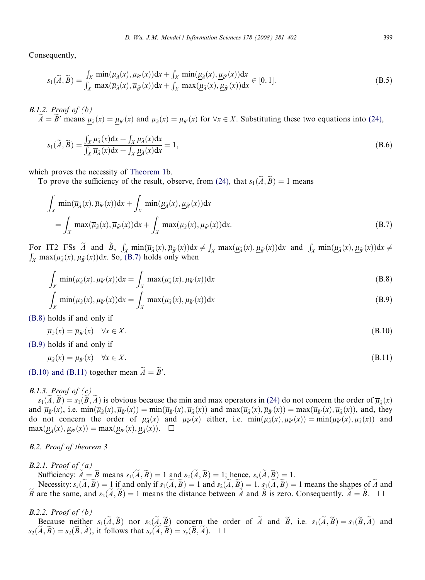Consequently,

$$
s_1(\widetilde{A}, \widetilde{B}) = \frac{\int_X \min(\overline{\mu}_{\widetilde{A}}(x), \overline{\mu}_{\widetilde{B}'}(x))dx + \int_X \min(\underline{\mu}_{\widetilde{A}}(x), \underline{\mu}_{\widetilde{B}'}(x))dx}{\int_X \max(\overline{\mu}_{\widetilde{A}}(x), \overline{\mu}_{\widetilde{B}'}(x))dx + \int_X \max(\underline{\mu}_{\widetilde{A}}(x), \underline{\mu}_{\widetilde{B}'}(x))dx} \in [0, 1].
$$
\n(B.5)

B.1.2. Proof of  $(b)$  $\widetilde{A} = \widetilde{B}'$  means  $\mu_{\widetilde{A}}(x) = \mu_{\widetilde{B}'}(x)$  and  $\overline{\mu}_{\widetilde{A}}(x) = \overline{\mu}_{\widetilde{B}'}(x)$  for  $\forall x \in X$ . Substituting these two equations into (24),

$$
s_1(\widetilde{A}, \widetilde{B}) = \frac{\int_X \overline{\mu}_{\widetilde{A}}(x) dx + \int_X \underline{\mu}_{\widetilde{A}}(x) dx}{\int_X \overline{\mu}_{\widetilde{A}}(x) dx + \int_X \underline{\mu}_{\widetilde{A}}(x) dx} = 1,
$$
\n(B.6)

which proves the necessity of [Theorem 1b](#page-9-0).

To prove the sufficiency of the result, observe, from (24), that  $s_1(\tilde{A}, \tilde{B}) = 1$  means

$$
\int_X \min(\overline{\mu}_{\tilde{A}}(x), \overline{\mu}_{\tilde{B}'}(x))dx + \int_X \min(\underline{\mu}_{\tilde{A}}(x), \underline{\mu}_{\tilde{B}'}(x))dx \n= \int_X \max(\overline{\mu}_{\tilde{A}}(x), \overline{\mu}_{\tilde{B}'}(x))dx + \int_X \max(\underline{\mu}_{\tilde{A}}(x), \underline{\mu}_{\tilde{B}'}(x))dx.
$$
\n(B.7)

For IT2 FSs  $\tilde{A}$  and  $\tilde{B}$ ,  $\int_X \min(\overline{\mu}_{\tilde{A}}(x), \overline{\mu}_{\tilde{B}'}(x))dx \neq \int_X \max(\underline{\mu}_{\tilde{A}}(x), \underline{\mu}_{\tilde{B}'}(x))dx$  and  $\int_X \min(\underline{\mu}_{\tilde{A}}(x), \underline{\mu}_{\tilde{B}'}(x))dx \neq \int_X \max(\overline{\mu}_{\tilde{A}}(x), \underline{\mu}_{\tilde{B}'}(x))dx$  $\bar{X}_X$  max $(\bar{\mu}_{\tilde{A}}(x), \bar{\mu}_{\tilde{B}'}(x))$ dx. So, (B.7) holds only when

$$
\int_{X} \min(\overline{\mu}_{\tilde{\lambda}}(x), \overline{\mu}_{\tilde{B}'}(x))dx = \int_{X} \max(\overline{\mu}_{\tilde{\lambda}}(x), \overline{\mu}_{\tilde{B}'}(x))dx
$$
\n(B.8)

$$
\int_{X} \min(\underline{\mu}_{\tilde{\lambda}}(x), \underline{\mu}_{\tilde{B}'}(x))dx = \int_{X} \max(\underline{\mu}_{\tilde{\lambda}}(x), \underline{\mu}_{\tilde{B}'}(x))dx
$$
\n(B.9)

(B.8) holds if and only if

 $\overline{\mu}_{\lambda}(x) = \overline{\mu}_{\lambda}(x) \quad \forall x \in X.$ (B.10)

(B.9) holds if and only if

$$
\underline{\mu}_{\tilde{A}}(x) = \underline{\mu}_{\tilde{B}'}(x) \quad \forall x \in X. \tag{B.11}
$$

(B.10) and (B.11) together mean  $\ddot{A} = \ddot{B}'$ .

# B.1.3. Proof of  $(c)$

 $s_1(\tilde{A}, \tilde{B}) = s_1(\tilde{B}, \tilde{A})$  is obvious because the min and max operators in (24) do not concern the order of  $\overline{\mu}_{\tilde{A}}(x)$ and  $\overline{\mu}_{\tilde{B}'}(x)$ , i.e.  $\min(\overline{\mu}_{\tilde{A}}(x), \overline{\mu}_{\tilde{B}'}(x)) = \min(\overline{\mu}_{\tilde{B}'}(x), \overline{\mu}_{\tilde{A}}(x))$  and  $\max(\overline{\mu}_{\tilde{A}}(x), \overline{\mu}_{\tilde{B}'}(x)) = \max(\overline{\mu}_{\tilde{B}'}(x), \overline{\mu}_{\tilde{A}}(x))$ , and, they do not concern the order of  $\mu_{\tilde{A}}(x)$  and  $\mu_{\tilde{B}'}(x)$  either, i.e.  $min(\mu_{\tilde{A}}(x), \mu_{\tilde{B}'}(x)) = min(\mu_{\tilde{B}'}(x), \mu_{\tilde{A}}(x))$  and  $\max(\mu_{\tilde{A}}(x), \mu_{\tilde{B}'}(x)) = \max(\mu_{\tilde{B}'}(x), \mu_{\tilde{A}}(x)). \quad \Box$ 

# B.2. Proof of theorem 3

 $B.2.1.$  Proof of  $(a)$ 

Sufficiency:  $\widetilde{A} = \widetilde{B}$  means  $s_1(\widetilde{A}, \widetilde{B}) = 1$  and  $s_2(\widetilde{A}, \widetilde{B}) = 1$ ; hence,  $s_s(\widetilde{A}, \widetilde{B}) = 1$ .

Necessity:  $s_{s}(\tilde{A}, \tilde{B}) = 1$  if and only if  $s_1(\tilde{A}, \tilde{B}) = 1$  and  $s_2(\tilde{A}, \tilde{B}) = 1$ .  $s_1(\tilde{A}, \tilde{B}) = 1$  means the shapes of  $\tilde{A}$  and  $\tilde{B}$  are the same, and  $s_2(\tilde{A}, \tilde{B}) = 1$  means the distance between A and  $\tilde{B}$  is zero. Consequently,  $\tilde{A} = \tilde{B}$ .  $\square$ 

# $B.2.2.$  Proof of  $(b)$

Because neither  $s_1(\tilde{A}, \tilde{B})$  nor  $s_2(\tilde{A}, \tilde{B})$  concern the order of  $\tilde{A}$  and  $\tilde{B}$ , i.e.  $s_1(\tilde{A}, \tilde{B}) = s_1(\tilde{B}, \tilde{A})$  and  $s_2(\tilde{A}, \tilde{B}) = s_2(\tilde{B}, \tilde{A})$ , it follows that  $s_s(\tilde{A}, \tilde{B}) = s_s(\tilde{B}, \tilde{A})$ .  $\Box$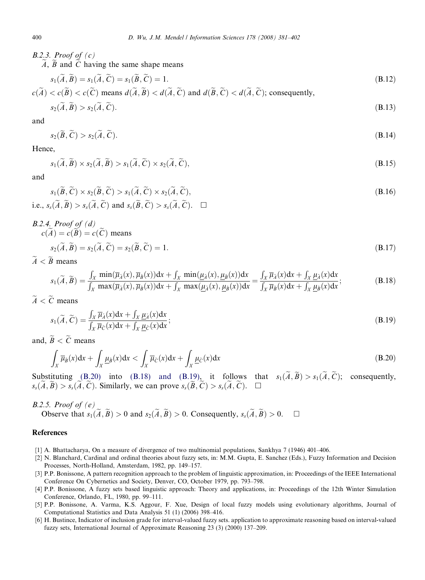B.2.3. Proof of  $(c)$ 

 $A, \tilde{B}$  and  $\tilde{C}$  having the same shape means

$$
s_1(\widetilde{A}, \widetilde{B}) = s_1(\widetilde{A}, \widetilde{C}) = s_1(\widetilde{B}, \widetilde{C}) = 1.
$$
\n(B.12)

$$
c(\widetilde{A}) < c(\widetilde{B}) < c(\widetilde{C})
$$
 means  $d(\widetilde{A}, \widetilde{B}) < d(\widetilde{A}, \widetilde{C})$  and  $d(\widetilde{B}, \widetilde{C}) < d(\widetilde{A}, \widetilde{C})$ ; consequently,  $\widetilde{C} \subset \widetilde{C}$ .

$$
s_2(A, B) > s_2(A, C). \tag{B.13}
$$

and

$$
s_2(\widetilde{B}, \widetilde{C}) > s_2(\widetilde{A}, \widetilde{C}).
$$
\n(B.14)

Hence,

$$
s_1(\widetilde{A}, \widetilde{B}) \times s_2(\widetilde{A}, \widetilde{B}) > s_1(\widetilde{A}, \widetilde{C}) \times s_2(\widetilde{A}, \widetilde{C}), \tag{B.15}
$$

and

$$
s_1(\widetilde{B}, \widetilde{C}) \times s_2(\widetilde{B}, \widetilde{C}) > s_1(\widetilde{A}, \widetilde{C}) \times s_2(\widetilde{A}, \widetilde{C}),
$$
  
i.e.,  $s_s(\widetilde{A}, \widetilde{B}) > s_s(\widetilde{A}, \widetilde{C})$  and  $s_s(\widetilde{B}, \widetilde{C}) > s_s(\widetilde{A}, \widetilde{C})$ .  $\square$ 

B.2.4. Proof of (d)  
\n
$$
c(\widetilde{A}) = c(\widetilde{B}) = c(\widetilde{C}) \text{ means}
$$
\n
$$
s_2(\widetilde{A}, \widetilde{B}) = s_2(\widetilde{A}, \widetilde{C}) = s_2(\widetilde{B}, \widetilde{C}) = 1.
$$
\n(B.17)

 $\widetilde{A} < \widetilde{B}$  means

$$
s_1(\widetilde{A}, \widetilde{B}) = \frac{\int_X \min(\overline{\mu}_{\widetilde{A}}(x), \overline{\mu}_{\widetilde{B}}(x))dx + \int_X \min(\underline{\mu}_{\widetilde{A}}(x), \underline{\mu}_{\widetilde{B}}(x))dx}{\int_X \max(\overline{\mu}_{\widetilde{A}}(x), \overline{\mu}_{\widetilde{B}}(x))dx + \int_X \max(\underline{\mu}_{\widetilde{A}}(x), \underline{\mu}_{\widetilde{B}}(x))dx} = \frac{\int_X \overline{\mu}_{\widetilde{A}}(x)dx + \int_X \underline{\mu}_{\widetilde{A}}(x)dx}{\int_X \overline{\mu}_{\widetilde{B}}(x)dx + \int_X \underline{\mu}_{\widetilde{B}}(x)dx};
$$
\n(B.18)

 $\widetilde{A} < \widetilde{C}$  means

$$
s_1(\widetilde{A}, \widetilde{C}) = \frac{\int_X \overline{\mu}_{\widetilde{A}}(x) dx + \int_X \underline{\mu}_{\widetilde{A}}(x) dx}{\int_X \overline{\mu}_{\widetilde{C}}(x) dx + \int_X \underline{\mu}_{\widetilde{C}}(x) dx};
$$
\n(B.19)

and,  $\widetilde{B} < \widetilde{C}$  means

$$
\int_X \overline{\mu}_{\overline{\beta}}(x) dx + \int_X \underline{\mu}_{\overline{\beta}}(x) dx < \int_X \overline{\mu}_{\overline{C}}(x) dx + \int_X \underline{\mu}_{\overline{C}}(x) dx
$$
\n(B.20)

Substituting (B.20) into (B.18) and (B.19), it follows that  $s_1(\tilde{A}, \tilde{B}) > s_1(\tilde{A}, \tilde{C})$ ; consequently,  $s_s(\tilde{A}, \tilde{B}) > s_s(\tilde{A}, \tilde{C})$ . Similarly, we can prove  $s_s(\tilde{B}, \tilde{C}) > s_s(\tilde{A}, \tilde{C})$ .  $\Box$ 

# B.2.5. Proof of  $(e)$

Observe that  $s_1(\tilde{A}, \tilde{B}) > 0$  and  $s_2(\tilde{A}, \tilde{B}) > 0$ . Consequently,  $s_s(\tilde{A}, \tilde{B}) > 0$ .  $\Box$ 

# References

- [1] A. Bhattacharya, On a measure of divergence of two multinomial populations, Sankhya 7 (1946) 401–406.
- [2] N. Blanchard, Cardinal and ordinal theories about fuzzy sets, in: M.M. Gupta, E. Sanchez (Eds.), Fuzzy Information and Decision Processes, North-Holland, Amsterdam, 1982, pp. 149–157.
- [3] P.P. Bonissone, A pattern recognition approach to the problem of linguistic approximation, in: Proceedings of the IEEE International Conference On Cybernetics and Society, Denver, CO, October 1979, pp. 793–798.
- [4] P.P. Bonissone, A fuzzy sets based linguistic approach: Theory and applications, in: Proceedings of the 12th Winter Simulation Conference, Orlando, FL, 1980, pp. 99–111.
- [5] P.P. Bonissone, A. Varma, K.S. Aggour, F. Xue, Design of local fuzzy models using evolutionary algorithms, Journal of Computational Statistics and Data Analysis 51 (1) (2006) 398–416.
- [6] H. Bustince, Indicator of inclusion grade for interval-valued fuzzy sets. application to approximate reasoning based on interval-valued fuzzy sets, International Journal of Approximate Reasoning 23 (3) (2000) 137–209.

<span id="page-19-0"></span>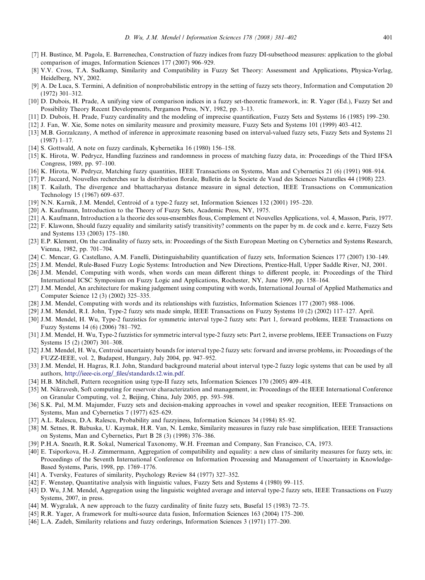- <span id="page-20-0"></span>[7] H. Bustince, M. Pagola, E. Barrenechea, Construction of fuzzy indices from fuzzy DI-subsethood measures: application to the global comparison of images, Information Sciences 177 (2007) 906–929.
- [8] V.V. Cross, T.A. Sudkamp, Similarity and Compatibility in Fuzzy Set Theory: Assessment and Applications, Physica-Verlag, Heidelberg, NY, 2002.
- [9] A. De Luca, S. Termini, A definition of nonprobabilistic entropy in the setting of fuzzy sets theory, Information and Computation 20 (1972) 301–312.
- [10] D. Dubois, H. Prade, A unifying view of comparison indices in a fuzzy set-theoretic framework, in: R. Yager (Ed.), Fuzzy Set and Possibility Theory Recent Developments, Pergamon Press, NY, 1982, pp. 3–13.
- [11] D. Dubois, H. Prade, Fuzzy cardinality and the modeling of imprecise quantification, Fuzzy Sets and Systems 16 (1985) 199–230.
- [12] J. Fan, W. Xie, Some notes on similarity measure and proximity measure, Fuzzy Sets and Systems 101 (1999) 403–412.
- [13] M.B. Gorzalczany, A method of inference in approximate reasoning based on interval-valued fuzzy sets, Fuzzy Sets and Systems 21 (1987) 1–17.
- [14] S. Gottwald, A note on fuzzy cardinals, Kybernetika 16 (1980) 156–158.
- [15] K. Hirota, W. Pedrycz, Handling fuzziness and randomness in process of matching fuzzy data, in: Proceedings of the Third IFSA Congress, 1989, pp. 97–100.
- [16] K. Hirota, W. Pedrycz, Matching fuzzy quantities, IEEE Transactions on Systems, Man and Cybernetics 21 (6) (1991) 908–914.
- [17] P. Jaccard, Nouvelles recherches sur la distribution florale, Bulletin de la Societe de Vaud des Sciences Naturelles 44 (1908) 223.
- [18] T. Kailath, The divergence and bhattacharyaa distance measure in signal detection, IEEE Transactions on Communication Technology 15 (1967) 609–637.
- [19] N.N. Karnik, J.M. Mendel, Centroid of a type-2 fuzzy set, Information Sciences 132 (2001) 195–220.
- [20] A. Kaufmann, Introduction to the Theory of Fuzzy Sets, Academic Press, NY, 1975.
- [21] A. Kaufmann, Introduction a la theorie des sous-ensembles flous, Complement et Nouvelles Applications, vol. 4, Masson, Paris, 1977.
- [22] F. Klawonn, Should fuzzy equality and similarity satisfy transitivity? comments on the paper by m. de cock and e. kerre, Fuzzy Sets and Systems 133 (2003) 175–180.
- [23] E.P. Klement, On the cardinality of fuzzy sets, in: Proceedings of the Sixth European Meeting on Cybernetics and Systems Research, Vienna, 1982, pp. 701–704.
- [24] C. Mencar, G. Castellano, A.M. Fanelli, Distinguishability quantification of fuzzy sets, Information Sciences 177 (2007) 130–149.
- [25] J.M. Mendel, Rule-Based Fuzzy Logic Systems: Introduction and New Directions, Prentice-Hall, Upper Saddle River, NJ, 2001.
- [26] J.M. Mendel, Computing with words, when words can mean different things to different people, in: Proceedings of the Third International ICSC Symposium on Fuzzy Logic and Applications, Rochester, NY, June 1999, pp. 158–164.
- [27] J.M. Mendel, An architecture for making judgement using computing with words, International Journal of Applied Mathematics and Computer Science 12 (3) (2002) 325–335.
- [28] J.M. Mendel, Computing with words and its relationships with fuzzistics, Information Sciences 177 (2007) 988–1006.
- [29] J.M. Mendel, R.I. John, Type-2 fuzzy sets made simple, IEEE Transactions on Fuzzy Systems 10 (2) (2002) 117–127. April.
- [30] J.M. Mendel, H. Wu, Type-2 fuzzistics for symmetric interval type-2 fuzzy sets: Part 1, forward problems, IEEE Transactions on Fuzzy Systems 14 (6) (2006) 781–792.
- [31] J.M. Mendel, H. Wu, Type-2 fuzzistics for symmetric interval type-2 fuzzy sets: Part 2, inverse problems, IEEE Transactions on Fuzzy Systems 15 (2) (2007) 301–308.
- [32] J.M. Mendel, H. Wu, Centroid uncertainty bounds for interval type-2 fuzzy sets: forward and inverse problems, in: Proceedings of the FUZZ-IEEE, vol. 2, Budapest, Hungary, July 2004, pp. 947–952.
- [33] J.M. Mendel, H. Hagras, R.I. John, Standard background material about interval type-2 fuzzy logic systems that can be used by all authors, [http://ieee-cis.org/\\_files/standards.t2.win.pdf.](http://ieee-cis.org/_files/standards.t2.win.pdf)
- [34] H.B. Mitchell, Pattern recognition using type-II fuzzy sets, Information Sciences 170 (2005) 409–418.
- [35] M. Nikravesh, Soft computing for reservoir characterization and management, in: Proceedings of the IEEE International Conference on Granular Computing, vol. 2, Beijing, China, July 2005, pp. 593–598.
- [36] S.K. Pal, M.M. Majumder, Fuzzy sets and decision-making approaches in vowel and speaker recognition, IEEE Transactions on Systems, Man and Cybernetics 7 (1977) 625–629.
- [37] A.L. Ralescu, D.A. Ralescu, Probability and fuzzyiness, Information Sciences 34 (1984) 85–92.
- [38] M. Setnes, R. Babuska, U. Kaymak, H.R. Van, N. Lemke, Similarity measures in fuzzy rule base simplification, IEEE Transactions on Systems, Man and Cybernetics, Part B 28 (3) (1998) 376–386.
- [39] P.H.A. Sneath, R.R. Sokal, Numerical Taxonomy, W.H. Freeman and Company, San Francisco, CA, 1973.
- [40] E. Tsiporkova, H.-J. Zimmermann, Aggregation of compatibility and equality: a new class of similarity measures for fuzzy sets, in: Proceedings of the Seventh International Conference on Information Processing and Management of Uncertainty in Knowledge-Based Systems, Paris, 1998, pp. 1769–1776.
- [41] A. Tversky, Features of similarity, Psychology Review 84 (1977) 327–352.
- [42] F. Wenstøp, Quantitative analysis with linguistic values, Fuzzy Sets and Systems 4 (1980) 99–115.
- [43] D. Wu, J.M. Mendel, Aggregation using the linguistic weighted average and interval type-2 fuzzy sets, IEEE Transactions on Fuzzy Systems, 2007, in press.
- [44] M. Wygralak, A new approach to the fuzzy cardinality of finite fuzzy sets, Busefal 15 (1983) 72–75.
- [45] R.R. Yager, A framework for multi-source data fusion, Information Sciences 163 (2004) 175–200.
- [46] L.A. Zadeh, Similarity relations and fuzzy orderings, Information Sciences 3 (1971) 177–200.